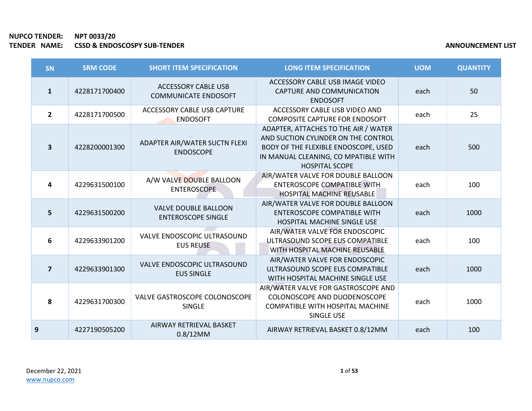|   | <b>SN</b>               | <b>SRM CODE</b> | <b>SHORT ITEM SPECIFICATION</b>                           | <b>LONG ITEM SPECIFICATION</b>                                                                                                                                                       | <b>UOM</b> | <b>QUANTITY</b> |
|---|-------------------------|-----------------|-----------------------------------------------------------|--------------------------------------------------------------------------------------------------------------------------------------------------------------------------------------|------------|-----------------|
|   | $\mathbf{1}$            | 4228171700400   | <b>ACCESSORY CABLE USB</b><br><b>COMMUNICATE ENDOSOFT</b> | ACCESSORY CABLE USB IMAGE VIDEO<br>CAPTURE AND COMMUNICATION<br><b>ENDOSOFT</b>                                                                                                      | each       | 50              |
|   | $\overline{2}$          | 4228171700500   | ACCESSORY CABLE USB CAPTURE<br><b>ENDOSOFT</b>            | ACCESSORY CABLE USB VIDEO AND<br><b>COMPOSITE CAPTURE FOR ENDOSOFT</b>                                                                                                               | each       | 25              |
|   | $\overline{\mathbf{3}}$ | 4228200001300   | ADAPTER AIR/WATER SUCTN FLEXI<br><b>ENDOSCOPE</b>         | ADAPTER, ATTACHES TO THE AIR / WATER<br>AND SUCTION CYLINDER ON THE CONTROL<br>BODY OF THE FLEXIBLE ENDOSCOPE, USED<br>IN MANUAL CLEANING, CO MPATIBLE WITH<br><b>HOSPITAL SCOPE</b> | each       | 500             |
|   | 4                       | 4229631500100   | A/W VALVE DOUBLE BALLOON<br><b>ENTEROSCOPE</b>            | AIR/WATER VALVE FOR DOUBLE BALLOON<br>ENTEROSCOPE COMPATIBLE WITH<br>HOSPITAL MACHINE REUSABLE                                                                                       | each       | 100             |
|   | 5                       | 4229631500200   | <b>VALVE DOUBLE BALLOON</b><br><b>ENTEROSCOPE SINGLE</b>  | AIR/WATER VALVE FOR DOUBLE BALLOON<br><b>ENTEROSCOPE COMPATIBLE WITH</b><br>HOSPITAL MACHINE SINGLE USE                                                                              | each       | 1000            |
|   | $6\phantom{1}6$         | 4229633901200   | VALVE ENDOSCOPIC ULTRASOUND<br><b>EUS REUSE</b>           | AIR/WATER VALVE FOR ENDOSCOPIC<br>ULTRASOUND SCOPE EUS COMPATIBLE<br>WITH HOSPITAL MACHINE REUSABLE                                                                                  | each       | 100             |
|   | $\overline{\mathbf{z}}$ | 4229633901300   | VALVE ENDOSCOPIC ULTRASOUND<br><b>EUS SINGLE</b>          | AIR/WATER VALVE FOR ENDOSCOPIC<br>ULTRASOUND SCOPE EUS COMPATIBLE<br>WITH HOSPITAL MACHINE SINGLE USE                                                                                | each       | 1000            |
|   | 8                       | 4229631700300   | VALVE GASTROSCOPE COLONOSCOPE<br><b>SINGLE</b>            | AIR/WATER VALVE FOR GASTROSCOPE AND<br>COLONOSCOPE AND DUODENOSCOPE<br><b>COMPATIBLE WITH HOSPITAL MACHINE</b><br>SINGLE USE                                                         | each       | 1000            |
| 9 |                         | 4227190505200   | AIRWAY RETRIEVAL BASKET<br>$0.8/12$ MM                    | AIRWAY RETRIEVAL BASKET 0.8/12MM                                                                                                                                                     | each       | 100             |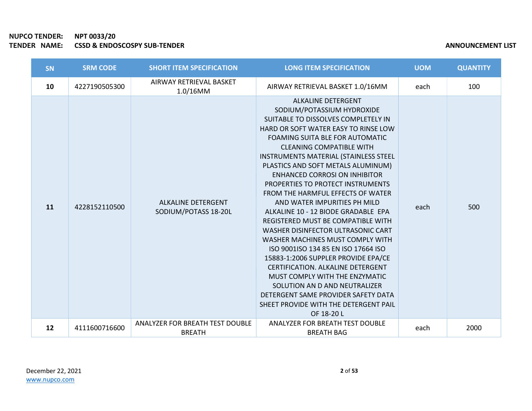| <b>SN</b> | <b>SRM CODE</b> | <b>SHORT ITEM SPECIFICATION</b>                   | <b>LONG ITEM SPECIFICATION</b>                                                                                                                                                                                                                                                                                                                                                                                                                                                                                                                                                                                                                                                                                                                                                                                                                                                                  | <b>UOM</b> | <b>QUANTITY</b> |
|-----------|-----------------|---------------------------------------------------|-------------------------------------------------------------------------------------------------------------------------------------------------------------------------------------------------------------------------------------------------------------------------------------------------------------------------------------------------------------------------------------------------------------------------------------------------------------------------------------------------------------------------------------------------------------------------------------------------------------------------------------------------------------------------------------------------------------------------------------------------------------------------------------------------------------------------------------------------------------------------------------------------|------------|-----------------|
| 10        | 4227190505300   | AIRWAY RETRIEVAL BASKET<br>$1.0/16$ MM            | AIRWAY RETRIEVAL BASKET 1.0/16MM                                                                                                                                                                                                                                                                                                                                                                                                                                                                                                                                                                                                                                                                                                                                                                                                                                                                | each       | 100             |
| 11        | 4228152110500   | <b>ALKALINE DETERGENT</b><br>SODIUM/POTASS 18-20L | <b>ALKALINE DETERGENT</b><br>SODIUM/POTASSIUM HYDROXIDE<br>SUITABLE TO DISSOLVES COMPLETELY IN<br>HARD OR SOFT WATER EASY TO RINSE LOW<br>FOAMING SUITA BLE FOR AUTOMATIC<br><b>CLEANING COMPATIBLE WITH</b><br>INSTRUMENTS MATERIAL (STAINLESS STEEL<br>PLASTICS AND SOFT METALS ALUMINUM)<br><b>ENHANCED CORROSI ON INHIBITOR</b><br>PROPERTIES TO PROTECT INSTRUMENTS<br>FROM THE HARMFUL EFFECTS OF WATER<br>AND WATER IMPURITIES PH MILD<br>ALKALINE 10 - 12 BIODE GRADABLE EPA<br>REGISTERED MUST BE COMPATIBLE WITH<br>WASHER DISINFECTOR ULTRASONIC CART<br>WASHER MACHINES MUST COMPLY WITH<br>ISO 9001ISO 134 85 EN ISO 17664 ISO<br>15883-1:2006 SUPPLER PROVIDE EPA/CE<br><b>CERTIFICATION. ALKALINE DETERGENT</b><br>MUST COMPLY WITH THE ENZYMATIC<br>SOLUTION AN D AND NEUTRALIZER<br>DETERGENT SAME PROVIDER SAFETY DATA<br>SHEET PROVIDE WITH THE DETERGENT PAIL<br>OF 18-20 L | each       | 500             |
| 12        | 4111600716600   | ANALYZER FOR BREATH TEST DOUBLE<br><b>BREATH</b>  | ANALYZER FOR BREATH TEST DOUBLE<br><b>BREATH BAG</b>                                                                                                                                                                                                                                                                                                                                                                                                                                                                                                                                                                                                                                                                                                                                                                                                                                            | each       | 2000            |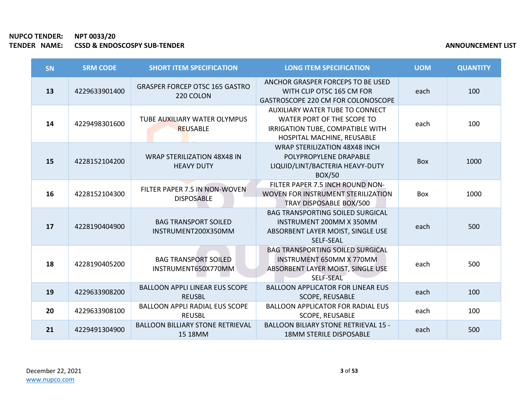| <b>SN</b> | <b>SRM CODE</b> | <b>SHORT ITEM SPECIFICATION</b>                         | <b>LONG ITEM SPECIFICATION</b>                                                                                                         | <b>UOM</b> | <b>QUANTITY</b> |
|-----------|-----------------|---------------------------------------------------------|----------------------------------------------------------------------------------------------------------------------------------------|------------|-----------------|
| 13        | 4229633901400   | <b>GRASPER FORCEP OTSC 165 GASTRO</b><br>220 COLON      | ANCHOR GRASPER FORCEPS TO BE USED<br>WITH CLIP OTSC 165 CM FOR<br>GASTROSCOPE 220 CM FOR COLONOSCOPE                                   | each       | 100             |
| 14        | 4229498301600   | TUBE AUXILIARY WATER OLYMPUS<br><b>REUSABLE</b>         | <b>AUXILIARY WATER TUBE TO CONNECT</b><br>WATER PORT OF THE SCOPE TO<br>IRRIGATION TUBE, COMPATIBLE WITH<br>HOSPITAL MACHINE, REUSABLE | each       | 100             |
| 15        | 4228152104200   | <b>WRAP STERILIZATION 48X48 IN</b><br><b>HEAVY DUTY</b> | <b>WRAP STERILIZATION 48X48 INCH</b><br>POLYPROPYLENE DRAPABLE<br>LIQUID/LINT/BACTERIA HEAVY-DUTY<br><b>BOX/50</b>                     | <b>Box</b> | 1000            |
| 16        | 4228152104300   | FILTER PAPER 7.5 IN NON-WOVEN<br><b>DISPOSABLE</b>      | FILTER PAPER 7.5 INCH ROUND NON-<br>WOVEN FOR INSTRUMENT STERILIZATION<br>TRAY DISPOSABLE BOX/500                                      | <b>Box</b> | 1000            |
| 17        | 4228190404900   | <b>BAG TRANSPORT SOILED</b><br>INSTRUMENT200X350MM      | <b>BAG TRANSPORTING SOILED SURGICAL</b><br>INSTRUMENT 200MM X 350MM<br>ABSORBENT LAYER MOIST, SINGLE USE<br>SELF-SEAL                  | each       | 500             |
| 18        | 4228190405200   | <b>BAG TRANSPORT SOILED</b><br>INSTRUMENT650X770MM      | <b>BAG TRANSPORTING SOILED SURGICAL</b><br>INSTRUMENT 650MM X 770MM<br>ABSORBENT LAYER MOIST, SINGLE USE<br>SELF-SEAL                  | each       | 500             |
| 19        | 4229633908200   | <b>BALLOON APPLI LINEAR EUS SCOPE</b><br><b>REUSBL</b>  | <b>BALLOON APPLICATOR FOR LINEAR EUS</b><br><b>SCOPE, REUSABLE</b>                                                                     | each       | 100             |
| 20        | 4229633908100   | <b>BALLOON APPLI RADIAL EUS SCOPE</b><br><b>REUSBL</b>  | <b>BALLOON APPLICATOR FOR RADIAL EUS</b><br>SCOPE, REUSABLE                                                                            | each       | 100             |
| 21        | 4229491304900   | <b>BALLOON BILLIARY STONE RETRIEVAL</b><br>15 18MM      | <b>BALLOON BILIARY STONE RETRIEVAL 15 -</b><br><b>18MM STERILE DISPOSABLE</b>                                                          | each       | 500             |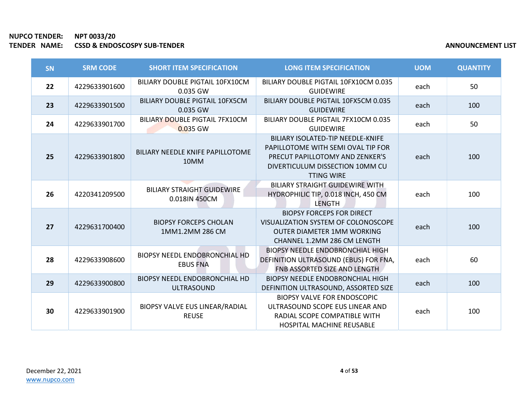| <b>SN</b> | <b>SRM CODE</b> | <b>SHORT ITEM SPECIFICATION</b>                           | <b>LONG ITEM SPECIFICATION</b>                                                                                                                                     | <b>UOM</b> | <b>QUANTITY</b> |
|-----------|-----------------|-----------------------------------------------------------|--------------------------------------------------------------------------------------------------------------------------------------------------------------------|------------|-----------------|
| 22        | 4229633901600   | BILIARY DOUBLE PIGTAIL 10FX10CM<br>0.035 GW               | BILIARY DOUBLE PIGTAIL 10FX10CM 0.035<br><b>GUIDEWIRE</b>                                                                                                          | each       | 50              |
| 23        | 4229633901500   | BILIARY DOUBLE PIGTAIL 10FX5CM<br>0.035 GW                | BILIARY DOUBLE PIGTAIL 10FX5CM 0.035<br><b>GUIDEWIRE</b>                                                                                                           | each       | 100             |
| 24        | 4229633901700   | <b>BILIARY DOUBLE PIGTAIL 7FX10CM</b><br>0.035 GW         | BILIARY DOUBLE PIGTAIL 7FX10CM 0.035<br><b>GUIDEWIRE</b>                                                                                                           | each       | 50              |
| 25        | 4229633901800   | BILIARY NEEDLE KNIFE PAPILLOTOME<br>10MM                  | BILIARY ISOLATED-TIP NEEDLE-KNIFE<br>PAPILLOTOME WITH SEMI OVAL TIP FOR<br>PRECUT PAPILLOTOMY AND ZENKER'S<br>DIVERTICULUM DISSECTION 10MM CU<br><b>TTING WIRE</b> | each       | 100             |
| 26        | 4220341209500   | <b>BILIARY STRAIGHT GUIDEWIRE</b><br>0.018IN 450CM        | <b>BILIARY STRAIGHT GUIDEWIRE WITH</b><br>HYDROPHILIC TIP, 0.018 INCH, 450 CM<br>LENGTH                                                                            | each       | 100             |
| 27        | 4229631700400   | <b>BIOPSY FORCEPS CHOLAN</b><br>1MM1.2MM 286 CM           | <b>BIOPSY FORCEPS FOR DIRECT</b><br>VISUALIZATION SYSTEM OF COLONOSCOPE<br><b>OUTER DIAMETER 1MM WORKING</b><br><b>CHANNEL 1.2MM 286 CM LENGTH</b>                 | each       | 100             |
| 28        | 4229633908600   | <b>BIOPSY NEEDL ENDOBRONCHIAL HD</b><br><b>EBUS FNA</b>   | <b>BIOPSY NEEDLE ENDOBRONCHIAL HIGH</b><br>DEFINITION ULTRASOUND (EBUS) FOR FNA,<br>FNB ASSORTED SIZE AND LENGTH                                                   | each       | 60              |
| 29        | 4229633900800   | <b>BIOPSY NEEDL ENDOBRONCHIAL HD</b><br><b>ULTRASOUND</b> | <b>BIOPSY NEEDLE ENDOBRONCHIAL HIGH</b><br>DEFINITION ULTRASOUND, ASSORTED SIZE                                                                                    | each       | 100             |
| 30        | 4229633901900   | BIOPSY VALVE EUS LINEAR/RADIAL<br><b>REUSE</b>            | <b>BIOPSY VALVE FOR ENDOSCOPIC</b><br>ULTRASOUND SCOPE EUS LINEAR AND<br>RADIAL SCOPE COMPATIBLE WITH<br><b>HOSPITAL MACHINE REUSABLE</b>                          | each       | 100             |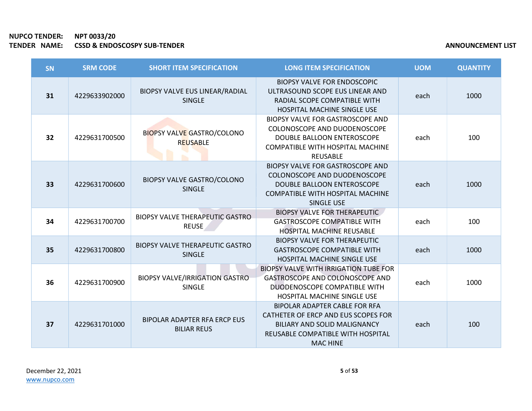| <b>SN</b> | <b>SRM CODE</b> | <b>SHORT ITEM SPECIFICATION</b>                         | <b>LONG ITEM SPECIFICATION</b>                                                                                                                                      | <b>UOM</b> | <b>QUANTITY</b> |
|-----------|-----------------|---------------------------------------------------------|---------------------------------------------------------------------------------------------------------------------------------------------------------------------|------------|-----------------|
| 31        | 4229633902000   | BIOPSY VALVE EUS LINEAR/RADIAL<br><b>SINGLE</b>         | <b>BIOPSY VALVE FOR ENDOSCOPIC</b><br>ULTRASOUND SCOPE EUS LINEAR AND<br>RADIAL SCOPE COMPATIBLE WITH<br>HOSPITAL MACHINE SINGLE USE                                | each       | 1000            |
| 32        | 4229631700500   | <b>BIOPSY VALVE GASTRO/COLONO</b><br>REUSABLE           | BIOPSY VALVE FOR GASTROSCOPE AND<br>COLONOSCOPE AND DUODENOSCOPE<br>DOUBLE BALLOON ENTEROSCOPE<br>COMPATIBLE WITH HOSPITAL MACHINE<br><b>REUSABLE</b>               | each       | 100             |
| 33        | 4229631700600   | <b>BIOPSY VALVE GASTRO/COLONO</b><br><b>SINGLE</b>      | <b>BIOPSY VALVE FOR GASTROSCOPE AND</b><br>COLONOSCOPE AND DUODENOSCOPE<br>DOUBLE BALLOON ENTEROSCOPE<br>COMPATIBLE WITH HOSPITAL MACHINE<br><b>SINGLE USE</b>      | each       | 1000            |
| 34        | 4229631700700   | <b>BIOPSY VALVE THERAPEUTIC GASTRO</b><br><b>REUSE</b>  | <b>BIOPSY VALVE FOR THERAPEUTIC</b><br><b>GASTROSCOPE COMPATIBLE WITH</b><br><b>HOSPITAL MACHINE REUSABLE</b>                                                       | each       | 100             |
| 35        | 4229631700800   | <b>BIOPSY VALVE THERAPEUTIC GASTRO</b><br><b>SINGLE</b> | <b>BIOPSY VALVE FOR THERAPEUTIC</b><br><b>GASTROSCOPE COMPATIBLE WITH</b><br><b>HOSPITAL MACHINE SINGLE USE</b>                                                     | each       | 1000            |
| 36        | 4229631700900   | <b>BIOPSY VALVE/IRRIGATION GASTRO</b><br><b>SINGLE</b>  | <b>BIOPSY VALVE WITH IRRIGATION TUBE FOR</b><br>GASTROSCOPE AND COLONOSCOPE AND<br>DUODENOSCOPE COMPATIBLE WITH<br><b>HOSPITAL MACHINE SINGLE USE</b>               | each       | 1000            |
| 37        | 4229631701000   | BIPOLAR ADAPTER RFA ERCP EUS<br><b>BILIAR REUS</b>      | BIPOLAR ADAPTER CABLE FOR RFA<br>CATHETER OF ERCP AND EUS SCOPES FOR<br><b>BILIARY AND SOLID MALIGNANCY</b><br>REUSABLE COMPATIBLE WITH HOSPITAL<br><b>MAC HINE</b> | each       | 100             |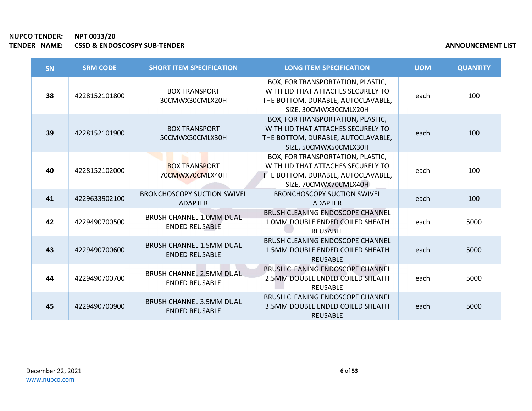**COL** 

| SN | <b>SRM CODE</b> | <b>SHORT ITEM SPECIFICATION</b>                          | <b>LONG ITEM SPECIFICATION</b>                                                                                                         | <b>UOM</b> | <b>QUANTITY</b> |
|----|-----------------|----------------------------------------------------------|----------------------------------------------------------------------------------------------------------------------------------------|------------|-----------------|
| 38 | 4228152101800   | <b>BOX TRANSPORT</b><br>30CMWX30CMLX20H                  | BOX, FOR TRANSPORTATION, PLASTIC,<br>WITH LID THAT ATTACHES SECURELY TO<br>THE BOTTOM, DURABLE, AUTOCLAVABLE,<br>SIZE, 30CMWX30CMLX20H | each       | 100             |
| 39 | 4228152101900   | <b>BOX TRANSPORT</b><br>50CMWX50CMLX30H                  | BOX, FOR TRANSPORTATION, PLASTIC,<br>WITH LID THAT ATTACHES SECURELY TO<br>THE BOTTOM, DURABLE, AUTOCLAVABLE,<br>SIZE, 50CMWX50CMLX30H | each       | 100             |
| 40 | 4228152102000   | <b>BOX TRANSPORT</b><br>70CMWX70CMLX40H                  | BOX, FOR TRANSPORTATION, PLASTIC,<br>WITH LID THAT ATTACHES SECURELY TO<br>THE BOTTOM, DURABLE, AUTOCLAVABLE,<br>SIZE, 70CMWX70CMLX40H | each       | 100             |
| 41 | 4229633902100   | <b>BRONCHOSCOPY SUCTION SWIVEL</b><br><b>ADAPTER</b>     | <b>BRONCHOSCOPY SUCTION SWIVEL</b><br><b>ADAPTER</b>                                                                                   | each       | 100             |
| 42 | 4229490700500   | <b>BRUSH CHANNEL 1.0MM DUAL</b><br><b>ENDED REUSABLE</b> | <b>BRUSH CLEANING ENDOSCOPE CHANNEL</b><br>1.0MM DOUBLE ENDED COILED SHEATH<br><b>REUSABLE</b>                                         | each       | 5000            |
| 43 | 4229490700600   | <b>BRUSH CHANNEL 1.5MM DUAL</b><br><b>ENDED REUSABLE</b> | <b>BRUSH CLEANING ENDOSCOPE CHANNEL</b><br>1.5MM DOUBLE ENDED COILED SHEATH<br><b>REUSABLE</b>                                         | each       | 5000            |
| 44 | 4229490700700   | <b>BRUSH CHANNEL 2.5MM DUAL</b><br><b>ENDED REUSABLE</b> | BRUSH CLEANING ENDOSCOPE CHANNEL<br>2.5MM DOUBLE ENDED COILED SHEATH<br><b>REUSABLE</b>                                                | each       | 5000            |
| 45 | 4229490700900   | <b>BRUSH CHANNEL 3.5MM DUAL</b><br><b>ENDED REUSABLE</b> | BRUSH CLEANING ENDOSCOPE CHANNEL<br>3.5MM DOUBLE ENDED COILED SHEATH<br><b>REUSABLE</b>                                                | each       | 5000            |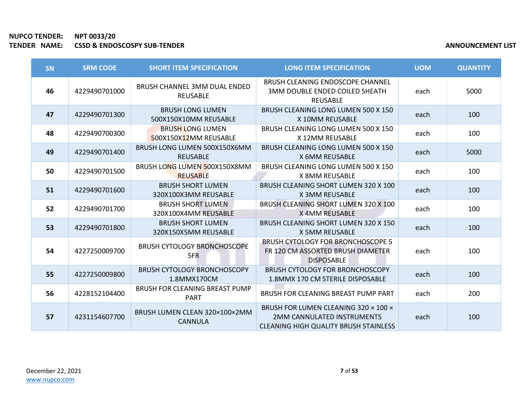| <b>SN</b> | <b>SRM CODE</b> | <b>SHORT ITEM SPECIFICATION</b>                        | <b>LONG ITEM SPECIFICATION</b>                                                                                            | <b>UOM</b> | <b>QUANTITY</b> |
|-----------|-----------------|--------------------------------------------------------|---------------------------------------------------------------------------------------------------------------------------|------------|-----------------|
| 46        | 4229490701000   | <b>BRUSH CHANNEL 3MM DUAL ENDED</b><br><b>REUSABLE</b> | BRUSH CLEANING ENDOSCOPE CHANNEL<br>3MM DOUBLE ENDED COILED SHEATH<br><b>REUSABLE</b>                                     | each       | 5000            |
| 47        | 4229490701300   | <b>BRUSH LONG LUMEN</b><br>500X150X10MM REUSABLE       | BRUSH CLEANING LONG LUMEN 500 X 150<br>X 10MM REUSABLE                                                                    | each       | 100             |
| 48        | 4229490700300   | <b>BRUSH LONG LUMEN</b><br>500X150X12MM REUSABLE       | BRUSH CLEANING LONG LUMEN 500 X 150<br>X 12MM REUSABLE                                                                    | each       | 100             |
| 49        | 4229490701400   | BRUSH LONG LUMEN 500X150X6MM<br><b>REUSABLE</b>        | BRUSH CLEANING LONG LUMEN 500 X 150<br>X 6MM REUSABLE                                                                     | each       | 5000            |
| 50        | 4229490701500   | BRUSH LONG LUMEN 500X150X8MM<br><b>REUSABLE</b>        | BRUSH CLEANING LONG LUMEN 500 X 150<br>X 8MM REUSABLE                                                                     | each       | 100             |
| 51        | 4229490701600   | <b>BRUSH SHORT LUMEN</b><br>320X100X3MM REUSABLE       | BRUSH CLEANING SHORT LUMEN 320 X 100<br>X 3MM REUSABLE                                                                    | each       | 100             |
| 52        | 4229490701700   | <b>BRUSH SHORT LUMEN</b><br>320X100X4MM REUSABLE       | BRUSH CLEANING SHORT LUMEN 320 X 100<br><b>X4MM REUSABLE</b>                                                              | each       | 100             |
| 53        | 4229490701800   | <b>BRUSH SHORT LUMEN</b><br>320X150X5MM REUSABLE       | <b>BRUSH CLEANING SHORT LUMEN 320 X 150</b><br>X 5MM REUSABLE                                                             | each       | 100             |
| 54        | 4227250009700   | <b>BRUSH CYTOLOGY BRONCHOSCOPE</b><br>5FR              | <b>BRUSH CYTOLOGY FOR BRONCHOSCOPE 5</b><br>FR 120 CM ASSORTED BRUSH DIAMETER<br><b>DISPOSABLE</b>                        | each       | 100             |
| 55        | 4227250009800   | <b>BRUSH CYTOLOGY BRONCHOSCOPY</b><br>1.8MMX170CM      | <b>BRUSH CYTOLOGY FOR BRONCHOSCOPY</b><br>1.8MMX 170 CM STERILE DISPOSABLE                                                | each       | 100             |
| 56        | 4228152104400   | BRUSH FOR CLEANING BREAST PUMP<br><b>PART</b>          | BRUSH FOR CLEANING BREAST PUMP PART                                                                                       | each       | 200             |
| 57        | 4231154607700   | BRUSH LUMEN CLEAN 320×100×2MM<br><b>CANNULA</b>        | BRUSH FOR LUMEN CLEANING 320 × 100 ×<br><b>2MM CANNULATED INSTRUMENTS</b><br><b>CLEANING HIGH QUALITY BRUSH STAINLESS</b> | each       | 100             |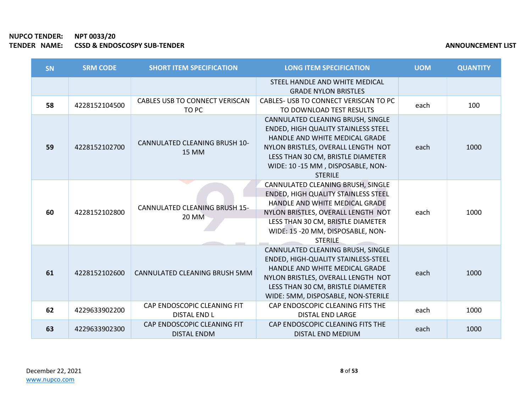**COL** 

| <b>SN</b> | <b>SRM CODE</b> | <b>SHORT ITEM SPECIFICATION</b>                      | <b>LONG ITEM SPECIFICATION</b>                                                                                                                                                                                                                      | <b>UOM</b> | <b>QUANTITY</b> |
|-----------|-----------------|------------------------------------------------------|-----------------------------------------------------------------------------------------------------------------------------------------------------------------------------------------------------------------------------------------------------|------------|-----------------|
|           |                 |                                                      | STEEL HANDLE AND WHITE MEDICAL<br><b>GRADE NYLON BRISTLES</b>                                                                                                                                                                                       |            |                 |
| 58        | 4228152104500   | CABLES USB TO CONNECT VERISCAN<br>TO PC              | CABLES- USB TO CONNECT VERISCAN TO PC<br>TO DOWNLOAD TEST RESULTS                                                                                                                                                                                   | each       | 100             |
| 59        | 4228152102700   | <b>CANNULATED CLEANING BRUSH 10-</b><br><b>15 MM</b> | CANNULATED CLEANING BRUSH, SINGLE<br><b>ENDED, HIGH QUALITY STAINLESS STEEL</b><br>HANDLE AND WHITE MEDICAL GRADE<br>NYLON BRISTLES, OVERALL LENGTH NOT<br>LESS THAN 30 CM, BRISTLE DIAMETER<br>WIDE: 10 -15 MM, DISPOSABLE, NON-<br><b>STERILE</b> | each       | 1000            |
| 60        | 4228152102800   | <b>CANNULATED CLEANING BRUSH 15-</b><br><b>20 MM</b> | CANNULATED CLEANING BRUSH, SINGLE<br>ENDED, HIGH QUALITY STAINLESS STEEL<br>HANDLE AND WHITE MEDICAL GRADE<br>NYLON BRISTLES, OVERALL LENGTH NOT<br>LESS THAN 30 CM, BRISTLE DIAMETER<br>WIDE: 15 -20 MM, DISPOSABLE, NON-<br><b>STERILE</b>        | each       | 1000            |
| 61        | 4228152102600   | CANNULATED CLEANING BRUSH 5MM                        | CANNULATED CLEANING BRUSH, SINGLE<br>ENDED, HIGH-QUALITY STAINLESS-STEEL<br>HANDLE AND WHITE MEDICAL GRADE<br>NYLON BRISTLES, OVERALL LENGTH NOT<br>LESS THAN 30 CM, BRISTLE DIAMETER<br>WIDE: 5MM, DISPOSABLE, NON-STERILE                         | each       | 1000            |
| 62        | 4229633902200   | CAP ENDOSCOPIC CLEANING FIT<br>DISTAL END L          | CAP ENDOSCOPIC CLEANING FITS THE<br><b>DISTAL END LARGE</b>                                                                                                                                                                                         | each       | 1000            |
| 63        | 4229633902300   | CAP ENDOSCOPIC CLEANING FIT<br><b>DISTAL ENDM</b>    | CAP ENDOSCOPIC CLEANING FITS THE<br>DISTAL END MEDIUM                                                                                                                                                                                               | each       | 1000            |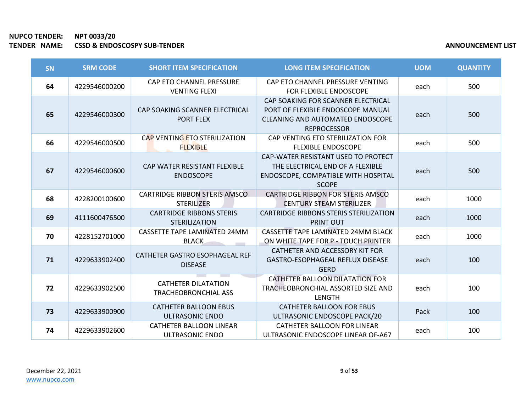| SN | <b>SRM CODE</b> | <b>SHORT ITEM SPECIFICATION</b>                           | <b>LONG ITEM SPECIFICATION</b>                                                                                                           | <b>UOM</b> | <b>QUANTITY</b> |
|----|-----------------|-----------------------------------------------------------|------------------------------------------------------------------------------------------------------------------------------------------|------------|-----------------|
| 64 | 4229546000200   | CAP ETO CHANNEL PRESSURE<br><b>VENTING FLEXI</b>          | CAP ETO CHANNEL PRESSURE VENTING<br>FOR FLEXIBLE ENDOSCOPE                                                                               | each       | 500             |
| 65 | 4229546000300   | CAP SOAKING SCANNER ELECTRICAL<br><b>PORT FLEX</b>        | CAP SOAKING FOR SCANNER ELECTRICAL<br>PORT OF FLEXIBLE ENDOSCOPE MANUAL<br><b>CLEANING AND AUTOMATED ENDOSCOPE</b><br><b>REPROCESSOR</b> | each       | 500             |
| 66 | 4229546000500   | CAP VENTING ETO STERILIZATION<br><b>FLEXIBLE</b>          | CAP VENTING ETO STERILIZATION FOR<br><b>FLEXIBLE ENDOSCOPE</b>                                                                           | each       | 500             |
| 67 | 4229546000600   | CAP WATER RESISTANT FLEXIBLE<br><b>ENDOSCOPE</b>          | CAP-WATER RESISTANT USED TO PROTECT<br>THE ELECTRICAL END OF A FLEXIBLE<br>ENDOSCOPE, COMPATIBLE WITH HOSPITAL<br><b>SCOPE</b>           | each       | 500             |
| 68 | 4228200100600   | <b>CARTRIDGE RIBBON STERIS AMSCO</b><br><b>STERILIZER</b> | <b>CARTRIDGE RIBBON FOR STERIS AMSCO</b><br><b>CENTURY STEAM STERILIZER</b>                                                              | each       | 1000            |
| 69 | 4111600476500   | <b>CARTRIDGE RIBBONS STERIS</b><br><b>STERILIZATION</b>   | <b>CARTRIDGE RIBBONS STERIS STERILIZATION</b><br><b>PRINT OUT</b>                                                                        | each       | 1000            |
| 70 | 4228152701000   | CASSETTE TAPE LAMINATED 24MM<br><b>BLACK</b>              | CASSETTE TAPE LAMINATED 24MM BLACK<br>ON WHITE TAPE FOR P - TOUCH PRINTER                                                                | each       | 1000            |
| 71 | 4229633902400   | CATHETER GASTRO ESOPHAGEAL REF<br><b>DISEASE</b>          | CATHETER AND ACCESSORY KIT FOR<br><b>GASTRO-ESOPHAGEAL REFLUX DISEASE</b><br><b>GERD</b>                                                 | each       | 100             |
| 72 | 4229633902500   | <b>CATHETER DILATATION</b><br><b>TRACHEOBRONCHIAL ASS</b> | CATHETER BALLOON DILATATION FOR<br>TRACHEOBRONCHIAL ASSORTED SIZE AND<br><b>LENGTH</b>                                                   | each       | 100             |
| 73 | 4229633900900   | <b>CATHETER BALLOON EBUS</b><br><b>ULTRASONIC ENDO</b>    | <b>CATHETER BALLOON FOR EBUS</b><br>ULTRASONIC ENDOSCOPE PACK/20                                                                         | Pack       | 100             |
| 74 | 4229633902600   | <b>CATHETER BALLOON LINEAR</b><br><b>ULTRASONIC ENDO</b>  | CATHETER BALLOON FOR LINEAR<br>ULTRASONIC ENDOSCOPE LINEAR OF-A67                                                                        | each       | 100             |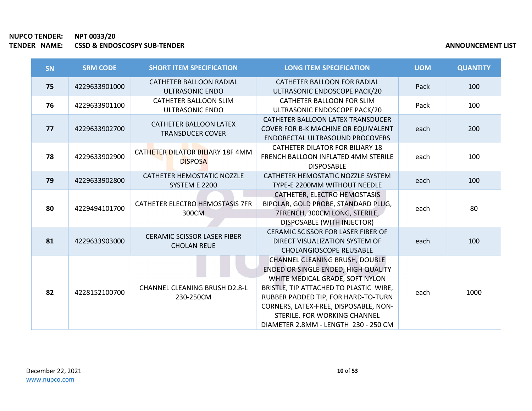| <b>SN</b> | <b>SRM CODE</b> | <b>SHORT ITEM SPECIFICATION</b>                          | <b>LONG ITEM SPECIFICATION</b>                                                                                                                                                                                                                                                                                    | <b>UOM</b> | <b>QUANTITY</b> |
|-----------|-----------------|----------------------------------------------------------|-------------------------------------------------------------------------------------------------------------------------------------------------------------------------------------------------------------------------------------------------------------------------------------------------------------------|------------|-----------------|
| 75        | 4229633901000   | <b>CATHETER BALLOON RADIAL</b><br><b>ULTRASONIC ENDO</b> | CATHETER BALLOON FOR RADIAL<br>ULTRASONIC ENDOSCOPE PACK/20                                                                                                                                                                                                                                                       | Pack       | 100             |
| 76        | 4229633901100   | CATHETER BALLOON SLIM<br><b>ULTRASONIC ENDO</b>          | CATHETER BALLOON FOR SLIM<br>ULTRASONIC ENDOSCOPE PACK/20                                                                                                                                                                                                                                                         | Pack       | 100             |
| 77        | 4229633902700   | <b>CATHETER BALLOON LATEX</b><br><b>TRANSDUCER COVER</b> | CATHETER BALLOON LATEX TRANSDUCER<br><b>COVER FOR B-K MACHINE OR EQUIVALENT</b><br><b>ENDORECTAL ULTRASOUND PROCOVERS</b>                                                                                                                                                                                         | each       | 200             |
| 78        | 4229633902900   | CATHETER DILATOR BILIARY 18F 4MM<br><b>DISPOSA</b>       | <b>CATHETER DILATOR FOR BILIARY 18</b><br><b>FRENCH BALLOON INFLATED 4MM STERILE</b><br><b>DISPOSABLE</b>                                                                                                                                                                                                         | each       | 100             |
| 79        | 4229633902800   | <b>CATHETER HEMOSTATIC NOZZLE</b><br>SYSTEM E 2200       | CATHETER HEMOSTATIC NOZZLE SYSTEM<br>TYPE-E 2200MM WITHOUT NEEDLE                                                                                                                                                                                                                                                 | each       | 100             |
| 80        | 4229494101700   | CATHETER ELECTRO HEMOSTASIS 7FR<br>300CM                 | CATHETER, ELECTRO HEMOSTASIS<br>BIPOLAR, GOLD PROBE, STANDARD PLUG,<br>7FRENCH, 300CM LONG, STERILE,<br>DISPOSABLE (WITH INJECTOR)                                                                                                                                                                                | each       | 80              |
| 81        | 4229633903000   | <b>CERAMIC SCISSOR LASER FIBER</b><br><b>CHOLAN REUE</b> | CERAMIC SCISSOR FOR LASER FIBER OF<br>DIRECT VISUALIZATION SYSTEM OF<br><b>CHOLANGIOSCOPE REUSABLE</b>                                                                                                                                                                                                            | each       | 100             |
| 82        | 4228152100700   | <b>CHANNEL CLEANING BRUSH D2.8-L</b><br>230-250CM        | <b>CHANNEL CLEANING BRUSH, DOUBLE</b><br>ENDED OR SINGLE ENDED, HIGH QUALITY<br>WHITE MEDICAL GRADE, SOFT NYLON<br>BRISTLE, TIP ATTACHED TO PLASTIC WIRE,<br>RUBBER PADDED TIP, FOR HARD-TO-TURN<br>CORNERS, LATEX-FREE, DISPOSABLE, NON-<br>STERILE, FOR WORKING CHANNEL<br>DIAMETER 2.8MM - LENGTH 230 - 250 CM | each       | 1000            |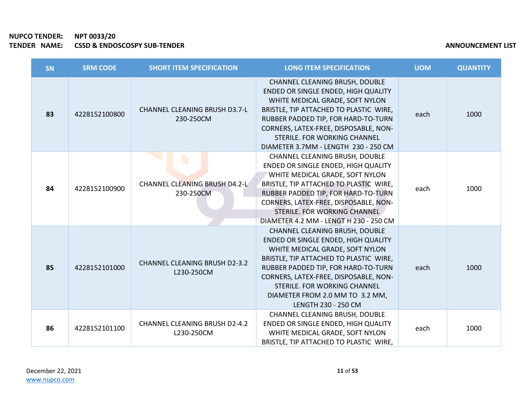| <b>SN</b> | <b>SRM CODE</b> | <b>SHORT ITEM SPECIFICATION</b>                    | <b>LONG ITEM SPECIFICATION</b>                                                                                                                                                                                                                                                                                               | <b>UOM</b> | <b>QUANTITY</b> |
|-----------|-----------------|----------------------------------------------------|------------------------------------------------------------------------------------------------------------------------------------------------------------------------------------------------------------------------------------------------------------------------------------------------------------------------------|------------|-----------------|
| 83        | 4228152100800   | <b>CHANNEL CLEANING BRUSH D3.7-L</b><br>230-250CM  | <b>CHANNEL CLEANING BRUSH, DOUBLE</b><br>ENDED OR SINGLE ENDED, HIGH QUALITY<br>WHITE MEDICAL GRADE, SOFT NYLON<br>BRISTLE, TIP ATTACHED TO PLASTIC WIRE,<br>RUBBER PADDED TIP, FOR HARD-TO-TURN<br>CORNERS, LATEX-FREE, DISPOSABLE, NON-<br>STERILE. FOR WORKING CHANNEL<br>DIAMETER 3.7MM - LENGTH 230 - 250 CM            | each       | 1000            |
| 84        | 4228152100900   | <b>CHANNEL CLEANING BRUSH D4.2-L</b><br>230-250CM  | CHANNEL CLEANING BRUSH, DOUBLE<br>ENDED OR SINGLE ENDED, HIGH QUALITY<br>WHITE MEDICAL GRADE, SOFT NYLON<br>BRISTLE, TIP ATTACHED TO PLASTIC WIRE,<br>RUBBER PADDED TIP, FOR HARD-TO-TURN<br>CORNERS, LATEX-FREE, DISPOSABLE, NON-<br>STERILE, FOR WORKING CHANNEL<br>DIAMETER 4.2 MM - LENGT H 230 - 250 CM                 | each       | 1000            |
| 85        | 4228152101000   | <b>CHANNEL CLEANING BRUSH D2-3.2</b><br>L230-250CM | CHANNEL CLEANING BRUSH, DOUBLE<br>ENDED OR SINGLE ENDED, HIGH QUALITY<br>WHITE MEDICAL GRADE, SOFT NYLON<br>BRISTLE, TIP ATTACHED TO PLASTIC WIRE,<br>RUBBER PADDED TIP, FOR HARD-TO-TURN<br>CORNERS, LATEX-FREE, DISPOSABLE, NON-<br>STERILE. FOR WORKING CHANNEL<br>DIAMETER FROM 2.0 MM TO 3.2 MM,<br>LENGTH 230 - 250 CM | each       | 1000            |
| 86        | 4228152101100   | <b>CHANNEL CLEANING BRUSH D2-4.2</b><br>L230-250CM | CHANNEL CLEANING BRUSH, DOUBLE<br>ENDED OR SINGLE ENDED, HIGH QUALITY<br>WHITE MEDICAL GRADE, SOFT NYLON<br>BRISTLE, TIP ATTACHED TO PLASTIC WIRE,                                                                                                                                                                           | each       | 1000            |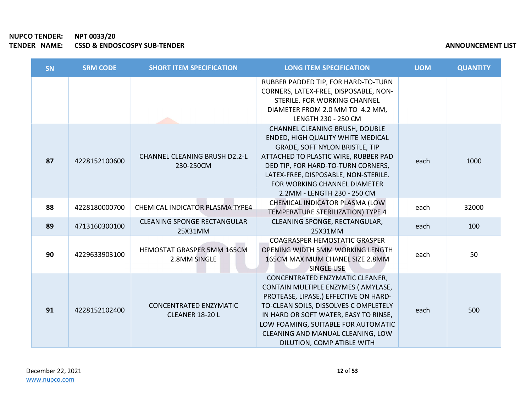# NUPCO TENDER: NPT 0033/20 TENDER NAME: CSSD & ENDOSCOSPY SUB-TENDER

| <b>ANNOUNCEMENT LIST</b> |
|--------------------------|
|--------------------------|

| <b>SN</b> | <b>SRM CODE</b> | <b>SHORT ITEM SPECIFICATION</b>                         | <b>LONG ITEM SPECIFICATION</b>                                                                                                                                                                                                                                                                             | <b>UOM</b> | <b>QUANTITY</b> |
|-----------|-----------------|---------------------------------------------------------|------------------------------------------------------------------------------------------------------------------------------------------------------------------------------------------------------------------------------------------------------------------------------------------------------------|------------|-----------------|
|           |                 |                                                         | RUBBER PADDED TIP, FOR HARD-TO-TURN<br>CORNERS, LATEX-FREE, DISPOSABLE, NON-<br>STERILE. FOR WORKING CHANNEL<br>DIAMETER FROM 2.0 MM TO 4.2 MM,<br>LENGTH 230 - 250 CM                                                                                                                                     |            |                 |
| 87        | 4228152100600   | <b>CHANNEL CLEANING BRUSH D2.2-L</b><br>230-250CM       | CHANNEL CLEANING BRUSH, DOUBLE<br>ENDED, HIGH QUALITY WHITE MEDICAL<br>GRADE, SOFT NYLON BRISTLE, TIP<br>ATTACHED TO PLASTIC WIRE, RUBBER PAD<br>DED TIP, FOR HARD-TO-TURN CORNERS,<br>LATEX-FREE, DISPOSABLE, NON-STERILE.<br>FOR WORKING CHANNEL DIAMETER<br>2.2MM - LENGTH 230 - 250 CM                 | each       | 1000            |
| 88        | 4228180000700   | CHEMICAL INDICATOR PLASMA TYPE4                         | CHEMICAL INDICATOR PLASMA (LOW<br>TEMPERATURE STERILIZATION) TYPE 4                                                                                                                                                                                                                                        | each       | 32000           |
| 89        | 4713160300100   | <b>CLEANING SPONGE RECTANGULAR</b><br>25X31MM           | CLEANING SPONGE, RECTANGULAR,<br>25X31MM                                                                                                                                                                                                                                                                   | each       | 100             |
| 90        | 4229633903100   | <b>HEMOSTAT GRASPER 5MM 165CM</b><br>2.8MM SINGLE       | <b>COAGRASPER HEMOSTATIC GRASPER</b><br>OPENING WIDTH 5MM WORKING LENGTH<br>165CM MAXIMUM CHANEL SIZE 2.8MM<br><b>SINGLE USE</b>                                                                                                                                                                           | each       | 50              |
| 91        | 4228152102400   | <b>CONCENTRATED ENZYMATIC</b><br><b>CLEANER 18-20 L</b> | CONCENTRATED ENZYMATIC CLEANER,<br>CONTAIN MULTIPLE ENZYMES (AMYLASE,<br>PROTEASE, LIPASE,) EFFECTIVE ON HARD-<br>TO-CLEAN SOILS, DISSOLVES C OMPLETELY<br>IN HARD OR SOFT WATER, EASY TO RINSE,<br>LOW FOAMING, SUITABLE FOR AUTOMATIC<br>CLEANING AND MANUAL CLEANING, LOW<br>DILUTION, COMP ATIBLE WITH | each       | 500             |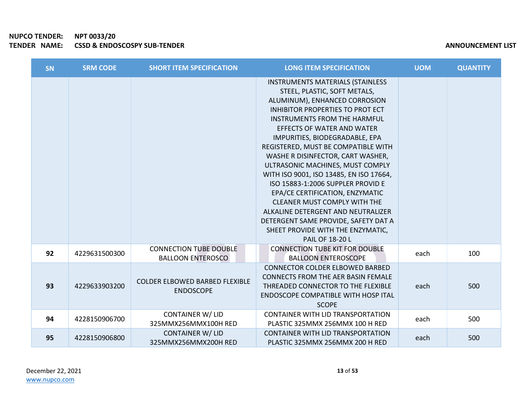| SN | <b>SRM CODE</b> | <b>SHORT ITEM SPECIFICATION</b>                           | <b>LONG ITEM SPECIFICATION</b>                                                                                                                                                                                                                                                                                                                                                                                                                                                                                                                                                                                                                                                           | <b>UOM</b> | <b>QUANTITY</b> |
|----|-----------------|-----------------------------------------------------------|------------------------------------------------------------------------------------------------------------------------------------------------------------------------------------------------------------------------------------------------------------------------------------------------------------------------------------------------------------------------------------------------------------------------------------------------------------------------------------------------------------------------------------------------------------------------------------------------------------------------------------------------------------------------------------------|------------|-----------------|
|    |                 |                                                           | <b>INSTRUMENTS MATERIALS (STAINLESS</b><br>STEEL, PLASTIC, SOFT METALS,<br>ALUMINUM), ENHANCED CORROSION<br><b>INHIBITOR PROPERTIES TO PROT ECT</b><br><b>INSTRUMENTS FROM THE HARMFUL</b><br><b>EFFECTS OF WATER AND WATER</b><br>IMPURITIES, BIODEGRADABLE, EPA<br>REGISTERED, MUST BE COMPATIBLE WITH<br>WASHE R DISINFECTOR, CART WASHER,<br>ULTRASONIC MACHINES, MUST COMPLY<br>WITH ISO 9001, ISO 13485, EN ISO 17664,<br>ISO 15883-1:2006 SUPPLER PROVID E<br>EPA/CE CERTIFICATION, ENZYMATIC<br><b>CLEANER MUST COMPLY WITH THE</b><br>ALKALINE DETERGENT AND NEUTRALIZER<br>DETERGENT SAME PROVIDE, SAFETY DAT A<br>SHEET PROVIDE WITH THE ENZYMATIC,<br><b>PAIL OF 18-20 L</b> |            |                 |
| 92 | 4229631500300   | <b>CONNECTION TUBE DOUBLE</b><br><b>BALLOON ENTEROSCO</b> | <b>CONNECTION TUBE KIT FOR DOUBLE</b><br><b>BALLOON ENTEROSCOPE</b>                                                                                                                                                                                                                                                                                                                                                                                                                                                                                                                                                                                                                      | each       | 100             |
| 93 | 4229633903200   | <b>COLDER ELBOWED BARBED FLEXIBLE</b><br><b>ENDOSCOPE</b> | <b>CONNECTOR COLDER ELBOWED BARBED</b><br><b>CONNECTS FROM THE AER BASIN FEMALE</b><br>THREADED CONNECTOR TO THE FLEXIBLE<br>ENDOSCOPE COMPATIBLE WITH HOSP ITAL<br><b>SCOPE</b>                                                                                                                                                                                                                                                                                                                                                                                                                                                                                                         | each       | 500             |
| 94 | 4228150906700   | <b>CONTAINER W/ LID</b><br>325MMX256MMX100H RED           | <b>CONTAINER WITH LID TRANSPORTATION</b><br>PLASTIC 325MMX 256MMX 100 H RED                                                                                                                                                                                                                                                                                                                                                                                                                                                                                                                                                                                                              | each       | 500             |
| 95 | 4228150906800   | <b>CONTAINER W/ LID</b><br>325MMX256MMX200H RED           | <b>CONTAINER WITH LID TRANSPORTATION</b><br>PLASTIC 325MMX 256MMX 200 H RED                                                                                                                                                                                                                                                                                                                                                                                                                                                                                                                                                                                                              | each       | 500             |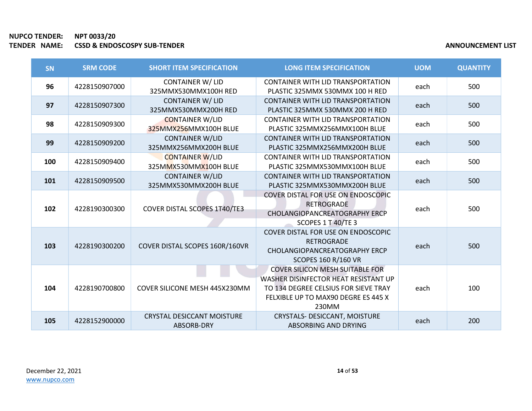| SN  | <b>SRM CODE</b> | <b>SHORT ITEM SPECIFICATION</b>                 | <b>LONG ITEM SPECIFICATION</b>                                                                                                                                         | <b>UOM</b> | <b>QUANTITY</b> |
|-----|-----------------|-------------------------------------------------|------------------------------------------------------------------------------------------------------------------------------------------------------------------------|------------|-----------------|
| 96  | 4228150907000   | <b>CONTAINER W/ LID</b><br>325MMX530MMX100H RED | <b>CONTAINER WITH LID TRANSPORTATION</b><br>PLASTIC 325MMX 530MMX 100 H RED                                                                                            | each       | 500             |
| 97  | 4228150907300   | <b>CONTAINER W/ LID</b><br>325MMX530MMX200H RED | <b>CONTAINER WITH LID TRANSPORTATION</b><br>PLASTIC 325MMX 530MMX 200 H RED                                                                                            | each       | 500             |
| 98  | 4228150909300   | <b>CONTAINER W/LID</b><br>325MMX256MMX100H BLUE | <b>CONTAINER WITH LID TRANSPORTATION</b><br>PLASTIC 325MMX256MMX100H BLUE                                                                                              | each       | 500             |
| 99  | 4228150909200   | <b>CONTAINER W/LID</b><br>325MMX256MMX200H BLUE | <b>CONTAINER WITH LID TRANSPORTATION</b><br>PLASTIC 325MMX256MMX200H BLUE                                                                                              | each       | 500             |
| 100 | 4228150909400   | <b>CONTAINER W/LID</b><br>325MMX530MMX100H BLUE | <b>CONTAINER WITH LID TRANSPORTATION</b><br>PLASTIC 325MMX530MMX100H BLUE                                                                                              | each       | 500             |
| 101 | 4228150909500   | <b>CONTAINER W/LID</b><br>325MMX530MMX200H BLUE | <b>CONTAINER WITH LID TRANSPORTATION</b><br>PLASTIC 325MMX530MMX200H BLUE                                                                                              | each       | 500             |
| 102 | 4228190300300   | COVER DISTAL SCOPES 1T40/TE3                    | COVER DISTAL FOR USE ON ENDOSCOPIC<br><b>RETROGRADE</b><br><b>CHOLANGIOPANCREATOGRAPHY ERCP</b><br>SCOPES 1 T 40/TE 3                                                  | each       | 500             |
| 103 | 4228190300200   | COVER DISTAL SCOPES 160R/160VR                  | COVER DISTAL FOR USE ON ENDOSCOPIC<br><b>RETROGRADE</b><br>CHOLANGIOPANCREATOGRAPHY ERCP<br><b>SCOPES 160 R/160 VR</b>                                                 | each       | 500             |
| 104 | 4228190700800   | <b>COVER SILICONE MESH 445X230MM</b>            | <b>COVER SILICON MESH SUITABLE FOR</b><br>WASHER DISINFECTOR HEAT RESISTANT UP<br>TO 134 DEGREE CELSIUS FOR SIEVE TRAY<br>FELXIBLE UP TO MAX90 DEGRE ES 445 X<br>230MM | each       | 100             |
| 105 | 4228152900000   | <b>CRYSTAL DESICCANT MOISTURE</b><br>ABSORB-DRY | <b>CRYSTALS- DESICCANT, MOISTURE</b><br>ABSORBING AND DRYING                                                                                                           | each       | 200             |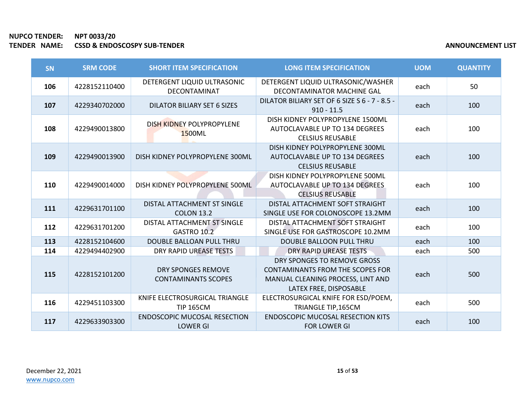| SN  | <b>SRM CODE</b> | <b>SHORT ITEM SPECIFICATION</b>                         | <b>LONG ITEM SPECIFICATION</b>                                                                                                        | <b>UOM</b> | <b>QUANTITY</b> |
|-----|-----------------|---------------------------------------------------------|---------------------------------------------------------------------------------------------------------------------------------------|------------|-----------------|
| 106 | 4228152110400   | DETERGENT LIQUID ULTRASONIC<br>DECONTAMINAT             | DETERGENT LIQUID ULTRASONIC/WASHER<br>DECONTAMINATOR MACHINE GAL                                                                      | each       | 50              |
| 107 | 4229340702000   | <b>DILATOR BILIARY SET 6 SIZES</b>                      | DILATOR BILIARY SET OF 6 SIZE S 6 - 7 - 8.5 -<br>$910 - 11.5$                                                                         | each       | 100             |
| 108 | 4229490013800   | DISH KIDNEY POLYPROPYLENE<br>1500ML                     | DISH KIDNEY POLYPROPYLENE 1500ML<br>AUTOCLAVABLE UP TO 134 DEGREES<br><b>CELSIUS REUSABLE</b>                                         | each       | 100             |
| 109 | 4229490013900   | DISH KIDNEY POLYPROPYLENE 300ML                         | DISH KIDNEY POLYPROPYLENE 300ML<br>AUTOCLAVABLE UP TO 134 DEGREES<br><b>CELSIUS REUSABLE</b>                                          | each       | 100             |
| 110 | 4229490014000   | DISH KIDNEY POLYPROPYLENE 500ML                         | DISH KIDNEY POLYPROPYLENE 500ML<br>AUTOCLAVABLE UP TO 134 DEGREES<br><b>CELSIUS REUSABLE</b>                                          | each       | 100             |
| 111 | 4229631701100   | DISTAL ATTACHMENT ST SINGLE<br><b>COLON 13.2</b>        | DISTAL ATTACHMENT SOFT STRAIGHT<br>SINGLE USE FOR COLONOSCOPE 13.2MM                                                                  | each       | 100             |
| 112 | 4229631701200   | DISTAL ATTACHMENT ST SINGLE<br>GASTRO 10.2              | DISTAL ATTACHMENT SOFT STRAIGHT<br>SINGLE USE FOR GASTROSCOPE 10.2MM                                                                  | each       | 100             |
| 113 | 4228152104600   | <b>DOUBLE BALLOAN PULL THRU</b>                         | DOUBLE BALLOON PULL THRU                                                                                                              | each       | 100             |
| 114 | 4229494402900   | DRY RAPID UREASE TESTS                                  | DRY RAPID UREASE TESTS                                                                                                                | each       | 500             |
| 115 | 4228152101200   | <b>DRY SPONGES REMOVE</b><br><b>CONTAMINANTS SCOPES</b> | DRY SPONGES TO REMOVE GROSS<br><b>CONTAMINANTS FROM THE SCOPES FOR</b><br>MANUAL CLEANING PROCESS, LINT AND<br>LATEX FREE, DISPOSABLE | each       | 500             |
| 116 | 4229451103300   | KNIFE ELECTROSURGICAL TRIANGLE<br><b>TIP 165CM</b>      | ELECTROSURGICAL KNIFE FOR ESD/POEM,<br>TRIANGLE TIP,165CM                                                                             | each       | 500             |
| 117 | 4229633903300   | <b>ENDOSCOPIC MUCOSAL RESECTION</b><br><b>LOWER GI</b>  | <b>ENDOSCOPIC MUCOSAL RESECTION KITS</b><br><b>FOR LOWER GI</b>                                                                       | each       | 100             |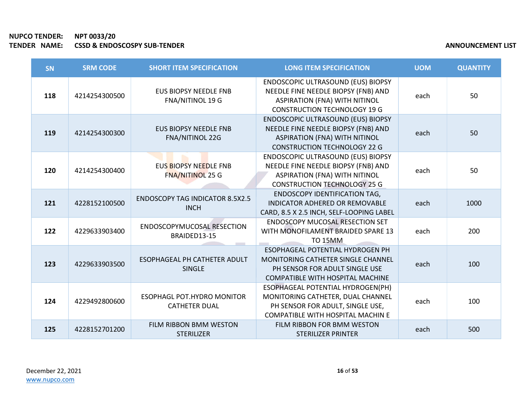×

| SN  | <b>SRM CODE</b> | <b>SHORT ITEM SPECIFICATION</b>                           | <b>LONG ITEM SPECIFICATION</b>                                                                                                                                  | <b>UOM</b> | <b>QUANTITY</b> |
|-----|-----------------|-----------------------------------------------------------|-----------------------------------------------------------------------------------------------------------------------------------------------------------------|------------|-----------------|
| 118 | 4214254300500   | <b>EUS BIOPSY NEEDLE FNB</b><br><b>FNA/NITINOL 19 G</b>   | <b>ENDOSCOPIC ULTRASOUND (EUS) BIOPSY</b><br>NEEDLE FINE NEEDLE BIOPSY (FNB) AND<br><b>ASPIRATION (FNA) WITH NITINOL</b><br><b>CONSTRUCTION TECHNOLOGY 19 G</b> | each       | 50              |
| 119 | 4214254300300   | <b>EUS BIOPSY NEEDLE FNB</b><br><b>FNA/NITINOL 22G</b>    | ENDOSCOPIC ULTRASOUND (EUS) BIOPSY<br>NEEDLE FINE NEEDLE BIOPSY (FNB) AND<br><b>ASPIRATION (FNA) WITH NITINOL</b><br><b>CONSTRUCTION TECHNOLOGY 22 G</b>        | each       | 50              |
| 120 | 4214254300400   | <b>EUS BIOPSY NEEDLE FNB</b><br><b>FNA/NITINOL 25 G</b>   | ENDOSCOPIC ULTRASOUND (EUS) BIOPSY<br>NEEDLE FINE NEEDLE BIOPSY (FNB) AND<br><b>ASPIRATION (FNA) WITH NITINOL</b><br><b>CONSTRUCTION TECHNOLOGY 25 G</b>        | each       | 50              |
| 121 | 4228152100500   | <b>ENDOSCOPY TAG INDICATOR 8.5X2.5</b><br><b>INCH</b>     | <b>ENDOSCOPY IDENTIFICATION TAG,</b><br><b>INDICATOR ADHERED OR REMOVABLE</b><br>CARD, 8.5 X 2.5 INCH, SELF-LOOPING LABEL                                       | each       | 1000            |
| 122 | 4229633903400   | ENDOSCOPYMUCOSAL RESECTION<br>BRAIDED13-15                | <b>ENDOSCOPY MUCOSAL RESECTION SET</b><br>WITH MONOFILAMENT BRAIDED SPARE 13<br><b>TO 15MM</b>                                                                  | each       | 200             |
| 123 | 4229633903500   | ESOPHAGEAL PH CATHETER ADULT<br><b>SINGLE</b>             | ESOPHAGEAL POTENTIAL HYDROGEN PH<br>MONITORING CATHETER SINGLE CHANNEL<br>PH SENSOR FOR ADULT SINGLE USE<br>COMPATIBLE WITH HOSPITAL MACHINE                    | each       | 100             |
| 124 | 4229492800600   | <b>ESOPHAGL POT.HYDRO MONITOR</b><br><b>CATHETER DUAL</b> | ESOPHAGEAL POTENTIAL HYDROGEN(PH)<br>MONITORING CATHETER, DUAL CHANNEL<br>PH SENSOR FOR ADULT, SINGLE USE,<br>COMPATIBLE WITH HOSPITAL MACHIN E                 | each       | 100             |
| 125 | 4228152701200   | FILM RIBBON BMM WESTON<br><b>STERILIZER</b>               | FILM RIBBON FOR BMM WESTON<br><b>STERILIZER PRINTER</b>                                                                                                         | each       | 500             |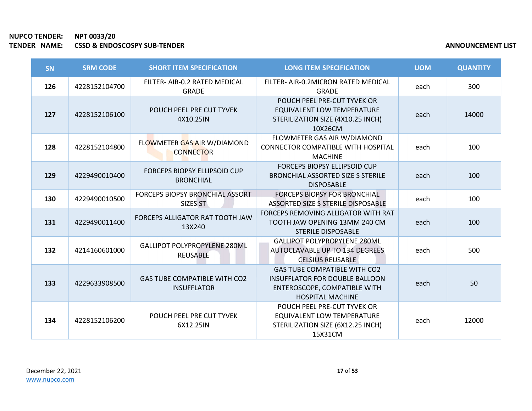| SN  | <b>SRM CODE</b> | <b>SHORT ITEM SPECIFICATION</b>                           | <b>LONG ITEM SPECIFICATION</b>                                                                                                          | <b>UOM</b> | <b>QUANTITY</b> |
|-----|-----------------|-----------------------------------------------------------|-----------------------------------------------------------------------------------------------------------------------------------------|------------|-----------------|
| 126 | 4228152104700   | FILTER- AIR-0.2 RATED MEDICAL<br><b>GRADE</b>             | FILTER- AIR-0.2MICRON RATED MEDICAL<br><b>GRADE</b>                                                                                     | each       | 300             |
| 127 | 4228152106100   | POUCH PEEL PRE CUT TYVEK<br>4X10.25IN                     | POUCH PEEL PRE-CUT TYVEK OR<br>EQUIVALENT LOW TEMPERATURE<br>STERILIZATION SIZE (4X10.25 INCH)<br>10X26CM                               | each       | 14000           |
| 128 | 4228152104800   | FLOWMETER GAS AIR W/DIAMOND<br><b>CONNECTOR</b>           | FLOWMETER GAS AIR W/DIAMOND<br><b>CONNECTOR COMPATIBLE WITH HOSPITAL</b><br><b>MACHINE</b>                                              | each       | 100             |
| 129 | 4229490010400   | <b>FORCEPS BIOPSY ELLIPSOID CUP</b><br><b>BRONCHIAL</b>   | <b>FORCEPS BIOPSY ELLIPSOID CUP</b><br><b>BRONCHIAL ASSORTED SIZE S STERILE</b><br><b>DISPOSABLE</b>                                    | each       | 100             |
| 130 | 4229490010500   | FORCEPS BIOPSY BRONCHIAL ASSORT<br>SIZES ST               | <b>FORCEPS BIOPSY FOR BRONCHIAL</b><br>ASSORTED SIZE S STERILE DISPOSABLE                                                               | each       | 100             |
| 131 | 4229490011400   | FORCEPS ALLIGATOR RAT TOOTH JAW<br>13X240                 | FORCEPS REMOVING ALLIGATOR WITH RAT<br>TOOTH JAW OPENING 13MM 240 CM<br><b>STERILE DISPOSABLE</b>                                       | each       | 100             |
| 132 | 4214160601000   | <b>GALLIPOT POLYPROPYLENE 280ML</b><br>REUSABLE           | <b>GALLIPOT POLYPROPYLENE 280ML</b><br>AUTOCLAVABLE UP TO 134 DEGREES<br><b>CELSIUS REUSABLE</b>                                        | each       | 500             |
| 133 | 4229633908500   | <b>GAS TUBE COMPATIBLE WITH CO2</b><br><b>INSUFFLATOR</b> | <b>GAS TUBE COMPATIBLE WITH CO2</b><br><b>INSUFFLATOR FOR DOUBLE BALLOON</b><br>ENTEROSCOPE, COMPATIBLE WITH<br><b>HOSPITAL MACHINE</b> | each       | 50              |
| 134 | 4228152106200   | POUCH PEEL PRE CUT TYVEK<br>6X12.25IN                     | POUCH PEEL PRE-CUT TYVEK OR<br><b>EQUIVALENT LOW TEMPERATURE</b><br>STERILIZATION SIZE (6X12.25 INCH)<br>15X31CM                        | each       | 12000           |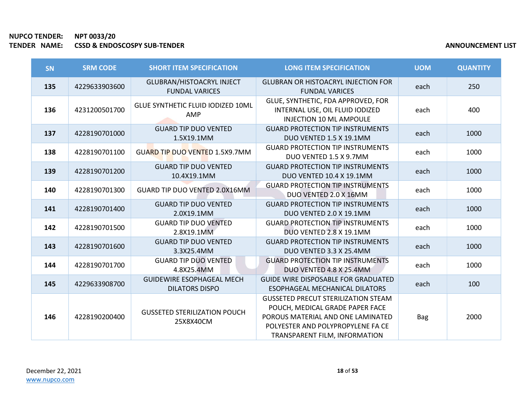| SN  | <b>SRM CODE</b> | <b>SHORT ITEM SPECIFICATION</b>                           | <b>LONG ITEM SPECIFICATION</b>                                                                                                                                                           | <b>UOM</b> | <b>QUANTITY</b> |
|-----|-----------------|-----------------------------------------------------------|------------------------------------------------------------------------------------------------------------------------------------------------------------------------------------------|------------|-----------------|
| 135 | 4229633903600   | GLUBRAN/HISTOACRYL INJECT<br><b>FUNDAL VARICES</b>        | <b>GLUBRAN OR HISTOACRYL INJECTION FOR</b><br><b>FUNDAL VARICES</b>                                                                                                                      | each       | 250             |
| 136 | 4231200501700   | GLUE SYNTHETIC FLUID IODIZED 10ML<br><b>AMP</b>           | GLUE, SYNTHETIC, FDA APPROVED, FOR<br>INTERNAL USE, OIL FLUID IODIZED<br><b>INJECTION 10 ML AMPOULE</b>                                                                                  | each       | 400             |
| 137 | 4228190701000   | <b>GUARD TIP DUO VENTED</b><br>1.5X19.1MM                 | <b>GUARD PROTECTION TIP INSTRUMENTS</b><br>DUO VENTED 1.5 X 19.1MM                                                                                                                       | each       | 1000            |
| 138 | 4228190701100   | <b>GUARD TIP DUO VENTED 1.5X9.7MM</b>                     | <b>GUARD PROTECTION TIP INSTRUMENTS</b><br>DUO VENTED 1.5 X 9.7MM                                                                                                                        | each       | 1000            |
| 139 | 4228190701200   | <b>GUARD TIP DUO VENTED</b><br>10.4X19.1MM                | <b>GUARD PROTECTION TIP INSTRUMENTS</b><br><b>DUO VENTED 10.4 X 19.1MM</b>                                                                                                               | each       | 1000            |
| 140 | 4228190701300   | GUARD TIP DUO VENTED 2.0X16MM                             | <b>GUARD PROTECTION TIP INSTRUMENTS</b><br>DUO VENTED 2.0 X 16MM                                                                                                                         | each       | 1000            |
| 141 | 4228190701400   | <b>GUARD TIP DUO VENTED</b><br>2.0X19.1MM                 | <b>GUARD PROTECTION TIP INSTRUMENTS</b><br>DUO VENTED 2.0 X 19.1MM                                                                                                                       | each       | 1000            |
| 142 | 4228190701500   | <b>GUARD TIP DUO VENTED</b><br>2.8X19.1MM                 | <b>GUARD PROTECTION TIP INSTRUMENTS</b><br>DUO VENTED 2.8 X 19.1MM                                                                                                                       | each       | 1000            |
| 143 | 4228190701600   | <b>GUARD TIP DUO VENTED</b><br>3.3X25.4MM                 | <b>GUARD PROTECTION TIP INSTRUMENTS</b><br>DUO VENTED 3.3 X 25.4MM                                                                                                                       | each       | 1000            |
| 144 | 4228190701700   | <b>GUARD TIP DUO VENTED</b><br>4.8X25.4MM                 | <b>GUARD PROTECTION TIP INSTRUMENTS</b><br>DUO VENTED 4.8 X 25.4MM                                                                                                                       | each       | 1000            |
| 145 | 4229633908700   | <b>GUIDEWIRE ESOPHAGEAL MECH</b><br><b>DILATORS DISPO</b> | <b>GUIDE WIRE DISPOSABLE FOR GRADUATED</b><br>ESOPHAGEAL MECHANICAL DILATORS                                                                                                             | each       | 100             |
| 146 | 4228190200400   | <b>GUSSETED STERILIZATION POUCH</b><br>25X8X40CM          | <b>GUSSETED PRECUT STERILIZATION STEAM</b><br>POUCH, MEDICAL GRADE PAPER FACE<br>POROUS MATERIAL AND ONE LAMINATED<br>POLYESTER AND POLYPROPYLENE FA CE<br>TRANSPARENT FILM, INFORMATION | Bag        | 2000            |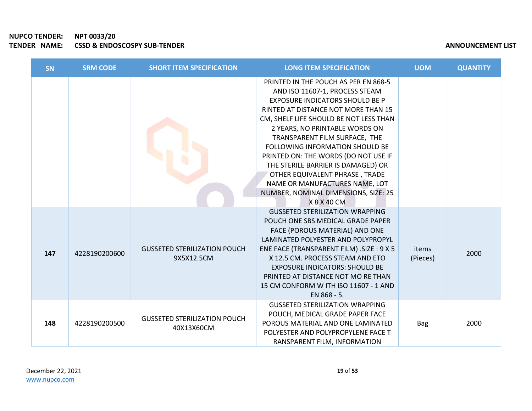# NUPCO TENDER: NPT 0033/20 TENDER NAME: CSSD & ENDOSCOSPY SUB-TENDER

|  | <b>ANNOUNCEMENT LIST</b> |
|--|--------------------------|
|--|--------------------------|

| SN  | <b>SRM CODE</b> | <b>SHORT ITEM SPECIFICATION</b>                   | <b>LONG ITEM SPECIFICATION</b>                                                                                                                                                                                                                                                                                                                                                                                                                                                                                   | <b>UOM</b>        | <b>QUANTITY</b> |
|-----|-----------------|---------------------------------------------------|------------------------------------------------------------------------------------------------------------------------------------------------------------------------------------------------------------------------------------------------------------------------------------------------------------------------------------------------------------------------------------------------------------------------------------------------------------------------------------------------------------------|-------------------|-----------------|
|     |                 |                                                   | PRINTED IN THE POUCH AS PER EN 868-5<br>AND ISO 11607-1, PROCESS STEAM<br><b>EXPOSURE INDICATORS SHOULD BE P</b><br>RINTED AT DISTANCE NOT MORE THAN 15<br>CM, SHELF LIFE SHOULD BE NOT LESS THAN<br>2 YEARS, NO PRINTABLE WORDS ON<br>TRANSPARENT FILM SURFACE, THE<br>FOLLOWING INFORMATION SHOULD BE<br>PRINTED ON: THE WORDS (DO NOT USE IF<br>THE STERILE BARRIER IS DAMAGED) OR<br>OTHER EQUIVALENT PHRASE, TRADE<br>NAME OR MANUFACTURES NAME, LOT<br>NUMBER, NOMINAL DIMENSIONS, SIZE: 25<br>X 8 X 40 CM |                   |                 |
| 147 | 4228190200600   | <b>GUSSETED STERILIZATION POUCH</b><br>9X5X12.5CM | <b>GUSSETED STERILIZATION WRAPPING</b><br>POUCH ONE SBS MEDICAL GRADE PAPER<br>FACE (POROUS MATERIAL) AND ONE<br>LAMINATED POLYESTER AND POLYPROPYL<br>ENE FACE (TRANSPARENT FILM) .SIZE : 9 X 5<br>X 12.5 CM. PROCESS STEAM AND ETO<br><b>EXPOSURE INDICATORS: SHOULD BE</b><br>PRINTED AT DISTANCE NOT MO RE THAN<br>15 CM CONFORM W ITH ISO 11607 - 1 AND<br>EN 868 - 5.                                                                                                                                      | items<br>(Pieces) | 2000            |
| 148 | 4228190200500   | <b>GUSSETED STERILIZATION POUCH</b><br>40X13X60CM | <b>GUSSETED STERILIZATION WRAPPING</b><br>POUCH, MEDICAL GRADE PAPER FACE<br>POROUS MATERIAL AND ONE LAMINATED<br>POLYESTER AND POLYPROPYLENE FACE T<br>RANSPARENT FILM, INFORMATION                                                                                                                                                                                                                                                                                                                             | <b>Bag</b>        | 2000            |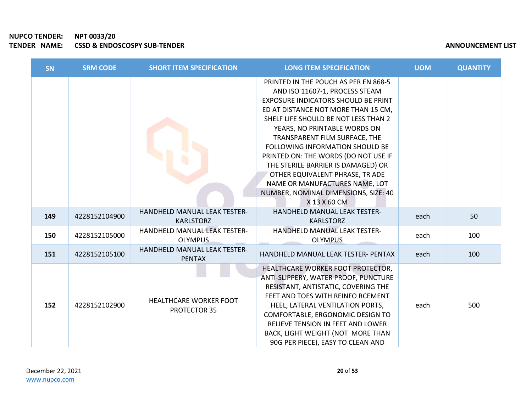×

| SN  | <b>SRM CODE</b> | <b>SHORT ITEM SPECIFICATION</b>                  | <b>LONG ITEM SPECIFICATION</b>                                                                                                                                                                                                                                                                                                                                                                                                                                                                              | <b>UOM</b> | <b>QUANTITY</b> |
|-----|-----------------|--------------------------------------------------|-------------------------------------------------------------------------------------------------------------------------------------------------------------------------------------------------------------------------------------------------------------------------------------------------------------------------------------------------------------------------------------------------------------------------------------------------------------------------------------------------------------|------------|-----------------|
|     |                 |                                                  | PRINTED IN THE POUCH AS PER EN 868-5<br>AND ISO 11607-1, PROCESS STEAM<br>EXPOSURE INDICATORS SHOULD BE PRINT<br>ED AT DISTANCE NOT MORE THAN 15 CM,<br>SHELF LIFE SHOULD BE NOT LESS THAN 2<br>YEARS, NO PRINTABLE WORDS ON<br>TRANSPARENT FILM SURFACE, THE<br>FOLLOWING INFORMATION SHOULD BE<br>PRINTED ON: THE WORDS (DO NOT USE IF<br>THE STERILE BARRIER IS DAMAGED) OR<br>OTHER EQUIVALENT PHRASE, TR ADE<br>NAME OR MANUFACTURES NAME, LOT<br>NUMBER, NOMINAL DIMENSIONS, SIZE: 40<br>X 13 X 60 CM |            |                 |
| 149 | 4228152104900   | HANDHELD MANUAL LEAK TESTER-<br><b>KARLSTORZ</b> | HANDHELD MANUAL LEAK TESTER-<br><b>KARLSTORZ</b>                                                                                                                                                                                                                                                                                                                                                                                                                                                            | each       | 50              |
| 150 | 4228152105000   | HANDHELD MANUAL LEAK TESTER-<br><b>OLYMPUS</b>   | HANDHELD MANUAL LEAK TESTER-<br><b>OLYMPUS</b>                                                                                                                                                                                                                                                                                                                                                                                                                                                              | each       | 100             |
| 151 | 4228152105100   | HANDHELD MANUAL LEAK TESTER-<br><b>PENTAX</b>    | HANDHELD MANUAL LEAK TESTER- PENTAX                                                                                                                                                                                                                                                                                                                                                                                                                                                                         | each       | 100             |
| 152 | 4228152102900   | <b>HEALTHCARE WORKER FOOT</b><br>PROTECTOR 35    | HEALTHCARE WORKER FOOT PROTECTOR,<br>ANTI-SLIPPERY, WATER PROOF, PUNCTURE<br>RESISTANT, ANTISTATIC, COVERING THE<br>FEET AND TOES WITH REINFO RCEMENT<br>HEEL, LATERAL VENTILATION PORTS,<br>COMFORTABLE, ERGONOMIC DESIGN TO<br>RELIEVE TENSION IN FEET AND LOWER<br>BACK, LIGHT WEIGHT (NOT MORE THAN<br>90G PER PIECE), EASY TO CLEAN AND                                                                                                                                                                | each       | 500             |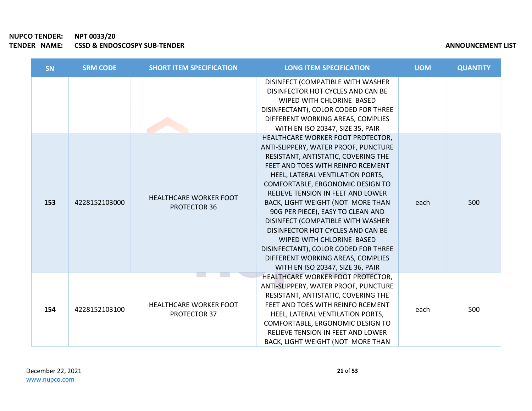| <b>SN</b> | <b>SRM CODE</b> | <b>SHORT ITEM SPECIFICATION</b>                      | <b>LONG ITEM SPECIFICATION</b>                                                                                                                                                                                                                                                                                                                                                                                                                                                          | <b>UOM</b> | <b>QUANTITY</b> |
|-----------|-----------------|------------------------------------------------------|-----------------------------------------------------------------------------------------------------------------------------------------------------------------------------------------------------------------------------------------------------------------------------------------------------------------------------------------------------------------------------------------------------------------------------------------------------------------------------------------|------------|-----------------|
|           |                 |                                                      | DISINFECT (COMPATIBLE WITH WASHER<br>DISINFECTOR HOT CYCLES AND CAN BE<br>WIPED WITH CHLORINE BASED<br>DISINFECTANT), COLOR CODED FOR THREE<br>DIFFERENT WORKING AREAS, COMPLIES<br>WITH EN ISO 20347, SIZE 35, PAIR<br>HEALTHCARE WORKER FOOT PROTECTOR,<br>ANTI-SLIPPERY, WATER PROOF, PUNCTURE                                                                                                                                                                                       |            |                 |
| 153       | 4228152103000   | <b>HEALTHCARE WORKER FOOT</b><br><b>PROTECTOR 36</b> | RESISTANT, ANTISTATIC, COVERING THE<br>FEET AND TOES WITH REINFO RCEMENT<br>HEEL, LATERAL VENTILATION PORTS,<br>COMFORTABLE, ERGONOMIC DESIGN TO<br>RELIEVE TENSION IN FEET AND LOWER<br>BACK, LIGHT WEIGHT (NOT MORE THAN<br>90G PER PIECE), EASY TO CLEAN AND<br>DISINFECT (COMPATIBLE WITH WASHER<br>DISINFECTOR HOT CYCLES AND CAN BE<br>WIPED WITH CHLORINE BASED<br>DISINFECTANT), COLOR CODED FOR THREE<br>DIFFERENT WORKING AREAS, COMPLIES<br>WITH EN ISO 20347, SIZE 36, PAIR | each       | 500             |
| 154       | 4228152103100   | <b>HEALTHCARE WORKER FOOT</b><br>PROTECTOR 37        | HEALTHCARE WORKER FOOT PROTECTOR,<br>ANTI-SLIPPERY, WATER PROOF, PUNCTURE<br>RESISTANT, ANTISTATIC, COVERING THE<br>FEET AND TOES WITH REINFO RCEMENT<br>HEEL, LATERAL VENTILATION PORTS,<br>COMFORTABLE, ERGONOMIC DESIGN TO<br>RELIEVE TENSION IN FEET AND LOWER<br>BACK, LIGHT WEIGHT (NOT MORE THAN                                                                                                                                                                                 | each       | 500             |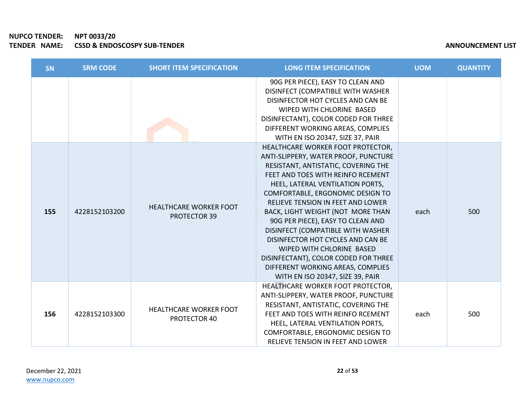# NUPCO TENDER: NPT 0033/20<br>TENDER NAME: CSSD & ENDO TENDER NAMES ON DER NAMES AND CONSERVANCE OF THE SERVICE OF THE SERVICE OF THE SERVICE OF THE SERVICE OF THE SERVICE OF THE SERVICE OF THE SERVICE OF THE SERVICE OF THE SERVICE OF THE SERVICE OF THE SERVICE OF THE SERVICE

| <b>ANNOUNCEMENT LIST</b> |
|--------------------------|
|--------------------------|

| <b>SN</b> | <b>SRM CODE</b> | <b>SHORT ITEM SPECIFICATION</b>                      | <b>LONG ITEM SPECIFICATION</b>                                                                                                                                                                                                                                                                                                                                                                                                                                                                                                                                       | <b>UOM</b> | <b>QUANTITY</b> |
|-----------|-----------------|------------------------------------------------------|----------------------------------------------------------------------------------------------------------------------------------------------------------------------------------------------------------------------------------------------------------------------------------------------------------------------------------------------------------------------------------------------------------------------------------------------------------------------------------------------------------------------------------------------------------------------|------------|-----------------|
|           |                 |                                                      | 90G PER PIECE), EASY TO CLEAN AND<br>DISINFECT (COMPATIBLE WITH WASHER<br>DISINFECTOR HOT CYCLES AND CAN BE<br>WIPED WITH CHLORINE BASED<br>DISINFECTANT), COLOR CODED FOR THREE<br>DIFFERENT WORKING AREAS, COMPLIES<br>WITH EN ISO 20347, SIZE 37, PAIR                                                                                                                                                                                                                                                                                                            |            |                 |
| 155       | 4228152103200   | <b>HEALTHCARE WORKER FOOT</b><br><b>PROTECTOR 39</b> | HEALTHCARE WORKER FOOT PROTECTOR,<br>ANTI-SLIPPERY, WATER PROOF, PUNCTURE<br>RESISTANT, ANTISTATIC, COVERING THE<br>FEET AND TOES WITH REINFO RCEMENT<br>HEEL, LATERAL VENTILATION PORTS,<br>COMFORTABLE, ERGONOMIC DESIGN TO<br>RELIEVE TENSION IN FEET AND LOWER<br>BACK, LIGHT WEIGHT (NOT MORE THAN<br>90G PER PIECE), EASY TO CLEAN AND<br>DISINFECT (COMPATIBLE WITH WASHER<br>DISINFECTOR HOT CYCLES AND CAN BE<br>WIPED WITH CHLORINE BASED<br>DISINFECTANT), COLOR CODED FOR THREE<br>DIFFERENT WORKING AREAS, COMPLIES<br>WITH EN ISO 20347, SIZE 39, PAIR | each       | 500             |
| 156       | 4228152103300   | <b>HEALTHCARE WORKER FOOT</b><br>PROTECTOR 40        | HEALTHCARE WORKER FOOT PROTECTOR,<br>ANTI-SLIPPERY, WATER PROOF, PUNCTURE<br>RESISTANT, ANTISTATIC, COVERING THE<br>FEET AND TOES WITH REINFO RCEMENT<br>HEEL, LATERAL VENTILATION PORTS,<br>COMFORTABLE, ERGONOMIC DESIGN TO<br>RELIEVE TENSION IN FEET AND LOWER                                                                                                                                                                                                                                                                                                   | each       | 500             |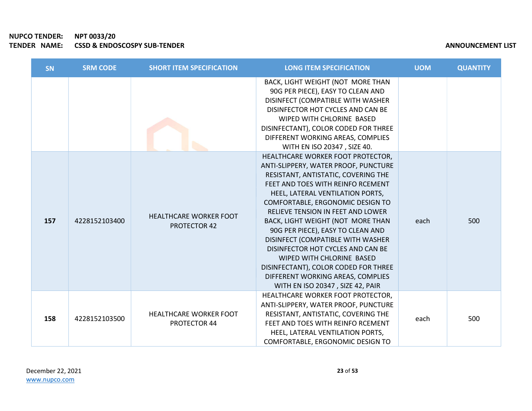| <b>SN</b> | <b>SRM CODE</b> | <b>SHORT ITEM SPECIFICATION</b>               | <b>LONG ITEM SPECIFICATION</b>                                                                                                                                                                                                                                                                                                                                                                                                                                                                                                                                       | <b>UOM</b> | <b>QUANTITY</b> |
|-----------|-----------------|-----------------------------------------------|----------------------------------------------------------------------------------------------------------------------------------------------------------------------------------------------------------------------------------------------------------------------------------------------------------------------------------------------------------------------------------------------------------------------------------------------------------------------------------------------------------------------------------------------------------------------|------------|-----------------|
|           |                 |                                               | BACK, LIGHT WEIGHT (NOT MORE THAN<br>90G PER PIECE), EASY TO CLEAN AND<br>DISINFECT (COMPATIBLE WITH WASHER<br>DISINFECTOR HOT CYCLES AND CAN BE<br>WIPED WITH CHLORINE BASED<br>DISINFECTANT), COLOR CODED FOR THREE<br>DIFFERENT WORKING AREAS, COMPLIES<br>WITH EN ISO 20347, SIZE 40.                                                                                                                                                                                                                                                                            |            |                 |
| 157       | 4228152103400   | <b>HEALTHCARE WORKER FOOT</b><br>PROTECTOR 42 | HEALTHCARE WORKER FOOT PROTECTOR,<br>ANTI-SLIPPERY, WATER PROOF, PUNCTURE<br>RESISTANT, ANTISTATIC, COVERING THE<br>FEET AND TOES WITH REINFO RCEMENT<br>HEEL, LATERAL VENTILATION PORTS,<br>COMFORTABLE, ERGONOMIC DESIGN TO<br>RELIEVE TENSION IN FEET AND LOWER<br>BACK, LIGHT WEIGHT (NOT MORE THAN<br>90G PER PIECE), EASY TO CLEAN AND<br>DISINFECT (COMPATIBLE WITH WASHER<br>DISINFECTOR HOT CYCLES AND CAN BE<br>WIPED WITH CHLORINE BASED<br>DISINFECTANT), COLOR CODED FOR THREE<br>DIFFERENT WORKING AREAS, COMPLIES<br>WITH EN ISO 20347, SIZE 42, PAIR | each       | 500             |
| 158       | 4228152103500   | HEALTHCARE WORKER FOOT<br>PROTECTOR 44        | HEALTHCARE WORKER FOOT PROTECTOR,<br>ANTI-SLIPPERY, WATER PROOF, PUNCTURE<br>RESISTANT, ANTISTATIC, COVERING THE<br>FEET AND TOES WITH REINFO RCEMENT<br>HEEL, LATERAL VENTILATION PORTS,<br>COMFORTABLE, ERGONOMIC DESIGN TO                                                                                                                                                                                                                                                                                                                                        | each       | 500             |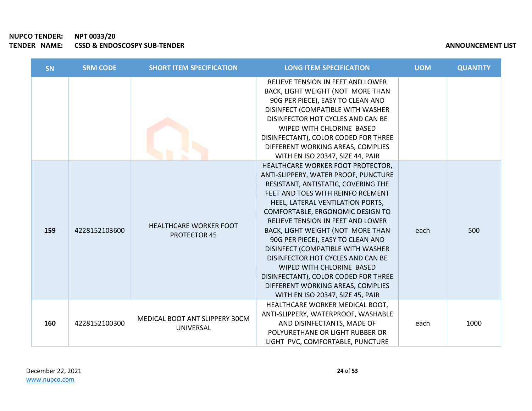| <b>SN</b> | <b>SRM CODE</b> | <b>SHORT ITEM SPECIFICATION</b>                      | <b>LONG ITEM SPECIFICATION</b>                                                                                                                                                                                                                                                                                                                                                                                                                                                                                                                                       | <b>UOM</b> | <b>QUANTITY</b> |
|-----------|-----------------|------------------------------------------------------|----------------------------------------------------------------------------------------------------------------------------------------------------------------------------------------------------------------------------------------------------------------------------------------------------------------------------------------------------------------------------------------------------------------------------------------------------------------------------------------------------------------------------------------------------------------------|------------|-----------------|
|           |                 |                                                      | RELIEVE TENSION IN FEET AND LOWER<br>BACK, LIGHT WEIGHT (NOT MORE THAN<br>90G PER PIECE), EASY TO CLEAN AND<br>DISINFECT (COMPATIBLE WITH WASHER<br>DISINFECTOR HOT CYCLES AND CAN BE<br>WIPED WITH CHLORINE BASED<br>DISINFECTANT), COLOR CODED FOR THREE<br>DIFFERENT WORKING AREAS, COMPLIES<br>WITH EN ISO 20347, SIZE 44, PAIR                                                                                                                                                                                                                                  |            |                 |
| 159       | 4228152103600   | <b>HEALTHCARE WORKER FOOT</b><br><b>PROTECTOR 45</b> | HEALTHCARE WORKER FOOT PROTECTOR,<br>ANTI-SLIPPERY, WATER PROOF, PUNCTURE<br>RESISTANT, ANTISTATIC, COVERING THE<br>FEET AND TOES WITH REINFO RCEMENT<br>HEEL, LATERAL VENTILATION PORTS,<br>COMFORTABLE, ERGONOMIC DESIGN TO<br>RELIEVE TENSION IN FEET AND LOWER<br>BACK, LIGHT WEIGHT (NOT MORE THAN<br>90G PER PIECE), EASY TO CLEAN AND<br>DISINFECT (COMPATIBLE WITH WASHER<br>DISINFECTOR HOT CYCLES AND CAN BE<br>WIPED WITH CHLORINE BASED<br>DISINFECTANT), COLOR CODED FOR THREE<br>DIFFERENT WORKING AREAS, COMPLIES<br>WITH EN ISO 20347, SIZE 45, PAIR | each       | 500             |
| 160       | 4228152100300   | MEDICAL BOOT ANT SLIPPERY 30CM<br>UNIVERSAL          | HEALTHCARE WORKER MEDICAL BOOT,<br>ANTI-SLIPPERY, WATERPROOF, WASHABLE<br>AND DISINFECTANTS, MADE OF<br>POLYURETHANE OR LIGHT RUBBER OR<br>LIGHT PVC, COMFORTABLE, PUNCTURE                                                                                                                                                                                                                                                                                                                                                                                          | each       | 1000            |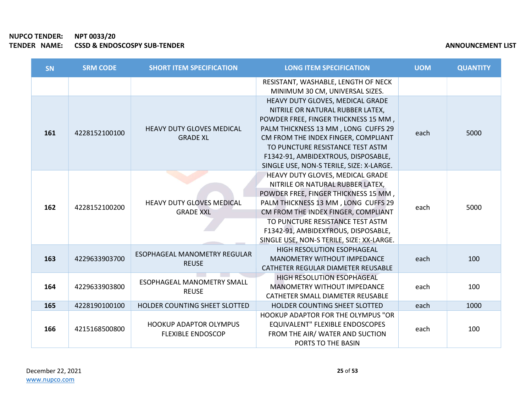| <b>SN</b> | <b>SRM CODE</b> | <b>SHORT ITEM SPECIFICATION</b>                           | <b>LONG ITEM SPECIFICATION</b>                                                                                                                                                                                                                                                                                     | <b>UOM</b> | <b>QUANTITY</b> |
|-----------|-----------------|-----------------------------------------------------------|--------------------------------------------------------------------------------------------------------------------------------------------------------------------------------------------------------------------------------------------------------------------------------------------------------------------|------------|-----------------|
|           |                 |                                                           | RESISTANT, WASHABLE, LENGTH OF NECK<br>MINIMUM 30 CM, UNIVERSAL SIZES.                                                                                                                                                                                                                                             |            |                 |
| 161       | 4228152100100   | <b>HEAVY DUTY GLOVES MEDICAL</b><br><b>GRADE XL</b>       | HEAVY DUTY GLOVES, MEDICAL GRADE<br>NITRILE OR NATURAL RUBBER LATEX,<br>POWDER FREE, FINGER THICKNESS 15 MM,<br>PALM THICKNESS 13 MM, LONG CUFFS 29<br>CM FROM THE INDEX FINGER, COMPLIANT<br>TO PUNCTURE RESISTANCE TEST ASTM.<br>F1342-91, AMBIDEXTROUS, DISPOSABLE,<br>SINGLE USE, NON-S TERILE, SIZE: X-LARGE. | each       | 5000            |
| 162       | 4228152100200   | <b>HEAVY DUTY GLOVES MEDICAL</b><br><b>GRADE XXL</b>      | HEAVY DUTY GLOVES, MEDICAL GRADE<br>NITRILE OR NATURAL RUBBER LATEX,<br>POWDER FREE, FINGER THICKNESS 15 MM,<br>PALM THICKNESS 13 MM, LONG CUFFS 29<br>CM FROM THE INDEX FINGER, COMPLIANT<br>TO PUNCTURE RESISTANCE TEST ASTM<br>F1342-91, AMBIDEXTROUS, DISPOSABLE,<br>SINGLE USE, NON-S TERILE, SIZE: XX-LARGE. | each       | 5000            |
| 163       | 4229633903700   | <b>ESOPHAGEAL MANOMETRY REGULAR</b><br><b>REUSE</b>       | HIGH RESOLUTION ESOPHAGEAL<br><b>MANOMETRY WITHOUT IMPEDANCE</b><br>CATHETER REGULAR DIAMETER REUSABLE                                                                                                                                                                                                             | each       | 100             |
| 164       | 4229633903800   | <b>ESOPHAGEAL MANOMETRY SMALL</b><br><b>REUSE</b>         | HIGH RESOLUTION ESOPHAGEAL<br>MANOMETRY WITHOUT IMPEDANCE<br>CATHETER SMALL DIAMETER REUSABLE                                                                                                                                                                                                                      | each       | 100             |
| 165       | 4228190100100   | HOLDER COUNTING SHEET SLOTTED                             | HOLDER COUNTING SHEET SLOTTED                                                                                                                                                                                                                                                                                      | each       | 1000            |
| 166       | 4215168500800   | <b>HOOKUP ADAPTOR OLYMPUS</b><br><b>FLEXIBLE ENDOSCOP</b> | <b>HOOKUP ADAPTOR FOR THE OLYMPUS "OR</b><br>EQUIVALENT" FLEXIBLE ENDOSCOPES<br>FROM THE AIR/ WATER AND SUCTION<br>PORTS TO THE BASIN                                                                                                                                                                              | each       | 100             |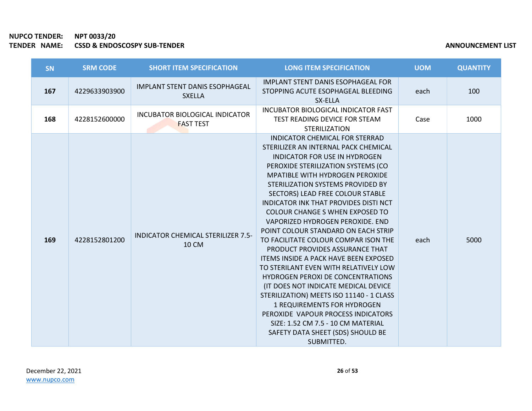| <b>SN</b> | <b>SRM CODE</b> | <b>SHORT ITEM SPECIFICATION</b>                           | <b>LONG ITEM SPECIFICATION</b>                                                                                                                                                                                                                                                                                                                                                                                                                                                                                                                                                                                                                                                                                                                                                                                                                                                                                       | <b>UOM</b> | <b>QUANTITY</b> |
|-----------|-----------------|-----------------------------------------------------------|----------------------------------------------------------------------------------------------------------------------------------------------------------------------------------------------------------------------------------------------------------------------------------------------------------------------------------------------------------------------------------------------------------------------------------------------------------------------------------------------------------------------------------------------------------------------------------------------------------------------------------------------------------------------------------------------------------------------------------------------------------------------------------------------------------------------------------------------------------------------------------------------------------------------|------------|-----------------|
| 167       | 4229633903900   | <b>IMPLANT STENT DANIS ESOPHAGEAL</b><br><b>SXELLA</b>    | <b>IMPLANT STENT DANIS ESOPHAGEAL FOR</b><br>STOPPING ACUTE ESOPHAGEAL BLEEDING<br>SX-ELLA                                                                                                                                                                                                                                                                                                                                                                                                                                                                                                                                                                                                                                                                                                                                                                                                                           | each       | 100             |
| 168       | 4228152600000   | INCUBATOR BIOLOGICAL INDICATOR<br><b>FAST TEST</b>        | INCUBATOR BIOLOGICAL INDICATOR FAST<br>TEST READING DEVICE FOR STEAM<br><b>STERILIZATION</b>                                                                                                                                                                                                                                                                                                                                                                                                                                                                                                                                                                                                                                                                                                                                                                                                                         | Case       | 1000            |
| 169       | 4228152801200   | <b>INDICATOR CHEMICAL STERILIZER 7.5-</b><br><b>10 CM</b> | <b>INDICATOR CHEMICAL FOR STERRAD</b><br>STERILIZER AN INTERNAL PACK CHEMICAL<br><b>INDICATOR FOR USE IN HYDROGEN</b><br>PEROXIDE STERILIZATION SYSTEMS (CO<br><b>MPATIBLE WITH HYDROGEN PEROXIDE</b><br>STERILIZATION SYSTEMS PROVIDED BY<br>SECTORS) LEAD FREE COLOUR STABLE<br><b>INDICATOR INK THAT PROVIDES DISTI NCT</b><br><b>COLOUR CHANGE S WHEN EXPOSED TO</b><br>VAPORIZED HYDROGEN PEROXIDE. END<br>POINT COLOUR STANDARD ON EACH STRIP<br>TO FACILITATE COLOUR COMPARISON THE<br>PRODUCT PROVIDES ASSURANCE THAT<br><b>ITEMS INSIDE A PACK HAVE BEEN EXPOSED</b><br>TO STERILANT EVEN WITH RELATIVELY LOW<br><b>HYDROGEN PEROXI DE CONCENTRATIONS</b><br>(IT DOES NOT INDICATE MEDICAL DEVICE<br>STERILIZATION) MEETS ISO 11140 - 1 CLASS<br>1 REQUIREMENTS FOR HYDROGEN<br>PEROXIDE VAPOUR PROCESS INDICATORS<br>SIZE: 1.52 CM 7.5 - 10 CM MATERIAL<br>SAFETY DATA SHEET (SDS) SHOULD BE<br>SUBMITTED. | each       | 5000            |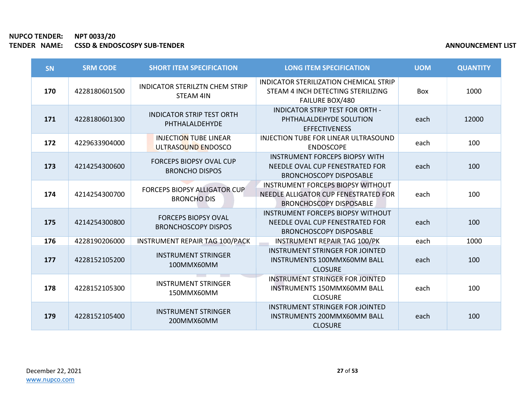| SN  | <b>SRM CODE</b> | <b>SHORT ITEM SPECIFICATION</b>                           | <b>LONG ITEM SPECIFICATION</b>                                                                                     | <b>UOM</b> | <b>QUANTITY</b> |
|-----|-----------------|-----------------------------------------------------------|--------------------------------------------------------------------------------------------------------------------|------------|-----------------|
| 170 | 4228180601500   | <b>INDICATOR STERILZTN CHEM STRIP</b><br><b>STEAM 4IN</b> | INDICATOR STERILIZATION CHEMICAL STRIP<br>STEAM 4 INCH DETECTING STERILIZING<br><b>FAILURE BOX/480</b>             | Box        | 1000            |
| 171 | 4228180601300   | <b>INDICATOR STRIP TEST ORTH</b><br>PHTHALALDEHYDE        | <b>INDICATOR STRIP TEST FOR ORTH -</b><br>PHTHALALDEHYDE SOLUTION<br><b>EFFECTIVENESS</b>                          | each       | 12000           |
| 172 | 4229633904000   | <b>INJECTION TUBE LINEAR</b><br>ULTRASOUND ENDOSCO        | INJECTION TUBE FOR LINEAR ULTRASOUND<br><b>ENDOSCOPE</b>                                                           | each       | 100             |
| 173 | 4214254300600   | <b>FORCEPS BIOPSY OVAL CUP</b><br><b>BRONCHO DISPOS</b>   | <b>INSTRUMENT FORCEPS BIOPSY WITH</b><br>NEEDLE OVAL CUP FENESTRATED FOR<br><b>BRONCHOSCOPY DISPOSABLE</b>         | each       | 100             |
| 174 | 4214254300700   | <b>FORCEPS BIOPSY ALLIGATOR CUP</b><br><b>BRONCHO DIS</b> | <b>INSTRUMENT FORCEPS BIOPSY WITHOUT</b><br>NEEDLE ALLIGATOR CUP FENESTRATED FOR<br><b>BRONCHOSCOPY DISPOSABLE</b> | each       | 100             |
| 175 | 4214254300800   | <b>FORCEPS BIOPSY OVAL</b><br><b>BRONCHOSCOPY DISPOS</b>  | <b>INSTRUMENT FORCEPS BIOPSY WITHOUT</b><br>NEEDLE OVAL CUP FENESTRATED FOR<br><b>BRONCHOSCOPY DISPOSABLE</b>      | each       | 100             |
| 176 | 4228190206000   | <b>INSTRUMENT REPAIR TAG 100/PACK</b>                     | <b>INSTRUMENT REPAIR TAG 100/PK</b>                                                                                | each       | 1000            |
| 177 | 4228152105200   | <b>INSTRUMENT STRINGER</b><br>100MMX60MM                  | INSTRUMENT STRINGER FOR JOINTED<br>INSTRUMENTS 100MMX60MM BALL<br><b>CLOSURE</b>                                   | each       | 100             |
| 178 | 4228152105300   | <b>INSTRUMENT STRINGER</b><br>150MMX60MM                  | <b>INSTRUMENT STRINGER FOR JOINTED</b><br><b>INSTRUMENTS 150MMX60MM BALL</b><br><b>CLOSURE</b>                     | each       | 100             |
| 179 | 4228152105400   | <b>INSTRUMENT STRINGER</b><br>200MMX60MM                  | INSTRUMENT STRINGER FOR JOINTED<br><b>INSTRUMENTS 200MMX60MM BALL</b><br><b>CLOSURE</b>                            | each       | 100             |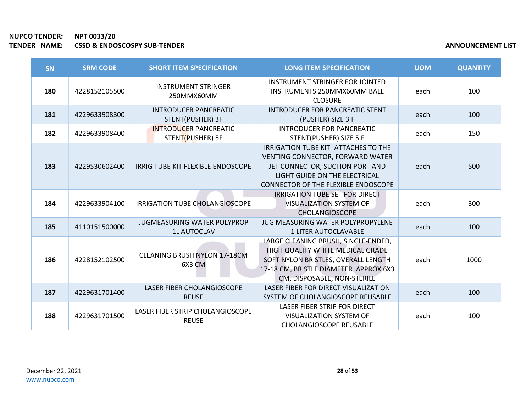| <b>SN</b> | <b>SRM CODE</b> | <b>SHORT ITEM SPECIFICATION</b>                          | <b>LONG ITEM SPECIFICATION</b>                                                                                                                                                         | <b>UOM</b> | <b>QUANTITY</b> |
|-----------|-----------------|----------------------------------------------------------|----------------------------------------------------------------------------------------------------------------------------------------------------------------------------------------|------------|-----------------|
| 180       | 4228152105500   | <b>INSTRUMENT STRINGER</b><br>250MMX60MM                 | INSTRUMENT STRINGER FOR JOINTED<br>INSTRUMENTS 250MMX60MM BALL<br><b>CLOSURE</b>                                                                                                       | each       | 100             |
| 181       | 4229633908300   | <b>INTRODUCER PANCREATIC</b><br>STENT(PUSHER) 3F         | <b>INTRODUCER FOR PANCREATIC STENT</b><br>(PUSHER) SIZE 3 F                                                                                                                            | each       | 100             |
| 182       | 4229633908400   | <b>INTRODUCER PANCREATIC</b><br>STENT(PUSHER) 5F         | <b>INTRODUCER FOR PANCREATIC</b><br>STENT(PUSHER) SIZE 5 F                                                                                                                             | each       | 150             |
| 183       | 4229530602400   | IRRIG TUBE KIT FLEXIBLE ENDOSCOPE                        | IRRIGATION TUBE KIT- ATTACHES TO THE<br>VENTING CONNECTOR, FORWARD WATER<br>JET CONNECTOR, SUCTION PORT AND<br>LIGHT GUIDE ON THE ELECTRICAL<br>CONNECTOR OF THE FLEXIBLE ENDOSCOPE    | each       | 500             |
| 184       | 4229633904100   | IRRIGATION TUBE CHOLANGIOSCOPE                           | <b>IRRIGATION TUBE SET FOR DIRECT</b><br><b>VISUALIZATION SYSTEM OF</b><br><b>CHOLANGIOSCOPE</b>                                                                                       | each       | 300             |
| 185       | 4110151500000   | <b>JUGMEASURING WATER POLYPROP</b><br><b>1L AUTOCLAV</b> | JUG MEASURING WATER POLYPROPYLENE<br><b>1 LITER AUTOCLAVABLE</b>                                                                                                                       | each       | 100             |
| 186       | 4228152102500   | <b>CLEANING BRUSH NYLON 17-18CM</b><br>6X3 CM            | LARGE CLEANING BRUSH, SINGLE-ENDED,<br>HIGH QUALITY WHITE MEDICAL GRADE<br>SOFT NYLON BRISTLES, OVERALL LENGTH<br>17-18 CM, BRISTLE DIAMETER APPROX 6X3<br>CM, DISPOSABLE, NON-STERILE | each       | 1000            |
| 187       | 4229631701400   | LASER FIBER CHOLANGIOSCOPE<br><b>REUSE</b>               | LASER FIBER FOR DIRECT VISUALIZATION<br>SYSTEM OF CHOLANGIOSCOPE REUSABLE                                                                                                              | each       | 100             |
| 188       | 4229631701500   | LASER FIBER STRIP CHOLANGIOSCOPE<br><b>REUSE</b>         | LASER FIBER STRIP FOR DIRECT<br><b>VISUALIZATION SYSTEM OF</b><br><b>CHOLANGIOSCOPE REUSABLE</b>                                                                                       | each       | 100             |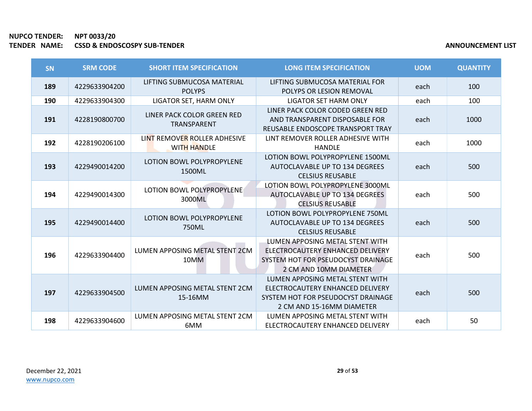| <b>SN</b> | <b>SRM CODE</b> | <b>SHORT ITEM SPECIFICATION</b>                    | <b>LONG ITEM SPECIFICATION</b>                                                                                                         | <b>UOM</b> | <b>QUANTITY</b> |
|-----------|-----------------|----------------------------------------------------|----------------------------------------------------------------------------------------------------------------------------------------|------------|-----------------|
| 189       | 4229633904200   | LIFTING SUBMUCOSA MATERIAL<br><b>POLYPS</b>        | LIFTING SUBMUCOSA MATERIAL FOR<br>POLYPS OR LESION REMOVAL                                                                             | each       | 100             |
| 190       | 4229633904300   | LIGATOR SET, HARM ONLY                             | <b>LIGATOR SET HARM ONLY</b>                                                                                                           | each       | 100             |
| 191       | 4228190800700   | LINER PACK COLOR GREEN RED<br>TRANSPARENT          | LINER PACK COLOR CODED GREEN RED<br>AND TRANSPARENT DISPOSABLE FOR<br>REUSABLE ENDOSCOPE TRANSPORT TRAY                                | each       | 1000            |
| 192       | 4228190206100   | LINT REMOVER ROLLER ADHESIVE<br><b>WITH HANDLE</b> | LINT REMOVER ROLLER ADHESIVE WITH<br><b>HANDLE</b>                                                                                     | each       | 1000            |
| 193       | 4229490014200   | LOTION BOWL POLYPROPYLENE<br>1500ML                | LOTION BOWL POLYPROPYLENE 1500ML<br>AUTOCLAVABLE UP TO 134 DEGREES<br><b>CELSIUS REUSABLE</b>                                          | each       | 500             |
| 194       | 4229490014300   | LOTION BOWL POLYPROPYLENE<br>3000ML                | LOTION BOWL POLYPROPYLENE 3000ML<br>AUTOCLAVABLE UP TO 134 DEGREES<br><b>CELSIUS REUSABLE</b>                                          | each       | 500             |
| 195       | 4229490014400   | LOTION BOWL POLYPROPYLENE<br>750ML                 | LOTION BOWL POLYPROPYLENE 750ML<br>AUTOCLAVABLE UP TO 134 DEGREES<br><b>CELSIUS REUSABLE</b>                                           | each       | 500             |
| 196       | 4229633904400   | LUMEN APPOSING METAL STENT 2CM<br>10MM             | LUMEN APPOSING METAL STENT WITH<br>ELECTROCAUTERY ENHANCED DELIVERY<br>SYSTEM HOT FOR PSEUDOCYST DRAINAGE<br>2 CM AND 10MM DIAMETER    | each       | 500             |
| 197       | 4229633904500   | LUMEN APPOSING METAL STENT 2CM<br>15-16MM          | LUMEN APPOSING METAL STENT WITH<br>ELECTROCAUTERY ENHANCED DELIVERY<br>SYSTEM HOT FOR PSEUDOCYST DRAINAGE<br>2 CM AND 15-16MM DIAMETER | each       | 500             |
| 198       | 4229633904600   | LUMEN APPOSING METAL STENT 2CM<br>6MM              | LUMEN APPOSING METAL STENT WITH<br>ELECTROCAUTERY ENHANCED DELIVERY                                                                    | each       | 50              |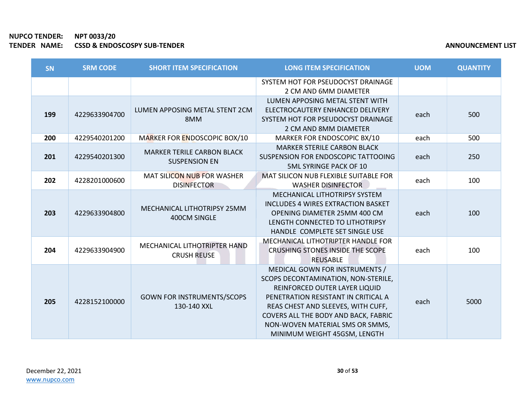**COL** 

| SN  | <b>SRM CODE</b> | <b>SHORT ITEM SPECIFICATION</b>                           | <b>LONG ITEM SPECIFICATION</b>                                                                                                                                                                                                                                                                 | <b>UOM</b> | <b>QUANTITY</b> |
|-----|-----------------|-----------------------------------------------------------|------------------------------------------------------------------------------------------------------------------------------------------------------------------------------------------------------------------------------------------------------------------------------------------------|------------|-----------------|
|     |                 |                                                           | SYSTEM HOT FOR PSEUDOCYST DRAINAGE<br>2 CM AND 6MM DIAMETER                                                                                                                                                                                                                                    |            |                 |
| 199 | 4229633904700   | LUMEN APPOSING METAL STENT 2CM<br>8MM                     | LUMEN APPOSING METAL STENT WITH<br>ELECTROCAUTERY ENHANCED DELIVERY<br>SYSTEM HOT FOR PSEUDOCYST DRAINAGE<br>2 CM AND 8MM DIAMETER                                                                                                                                                             | each       | 500             |
| 200 | 4229540201200   | MARKER FOR ENDOSCOPIC BOX/10                              | MARKER FOR ENDOSCOPIC BX/10                                                                                                                                                                                                                                                                    | each       | 500             |
| 201 | 4229540201300   | <b>MARKER TERILE CARBON BLACK</b><br><b>SUSPENSION EN</b> | <b>MARKER STERILE CARBON BLACK</b><br>SUSPENSION FOR ENDOSCOPIC TATTOOING<br><b>5ML SYRINGE PACK OF 10</b>                                                                                                                                                                                     | each       | 250             |
| 202 | 4228201000600   | MAT SILICON NUB FOR WASHER<br><b>DISINFECTOR</b>          | MAT SILICON NUB FLEXIBLE SUITABLE FOR<br><b>WASHER DISINFECTOR</b>                                                                                                                                                                                                                             | each       | 100             |
| 203 | 4229633904800   | MECHANICAL LITHOTRIPSY 25MM<br>400CM SINGLE               | <b>MECHANICAL LITHOTRIPSY SYSTEM</b><br><b>INCLUDES 4 WIRES EXTRACTION BASKET</b><br>OPENING DIAMETER 25MM 400 CM<br>LENGTH CONNECTED TO LITHOTRIPSY<br>HANDLE COMPLETE SET SINGLE USE                                                                                                         | each       | 100             |
| 204 | 4229633904900   | MECHANICAL LITHOTRIPTER HAND<br><b>CRUSH REUSE</b>        | MECHANICAL LITHOTRIPTER HANDLE FOR<br>CRUSHING STONES INSIDE THE SCOPE<br><b>REUSABLE</b>                                                                                                                                                                                                      | each       | 100             |
| 205 | 4228152100000   | <b>GOWN FOR INSTRUMENTS/SCOPS</b><br>130-140 XXL          | MEDICAL GOWN FOR INSTRUMENTS /<br>SCOPS DECONTAMINATION, NON-STERILE,<br>REINFORCED OUTER LAYER LIQUID<br>PENETRATION RESISTANT IN CRITICAL A<br>REAS CHEST AND SLEEVES, WITH CUFF,<br>COVERS ALL THE BODY AND BACK, FABRIC<br>NON-WOVEN MATERIAL SMS OR SMMS,<br>MINIMUM WEIGHT 45GSM, LENGTH | each       | 5000            |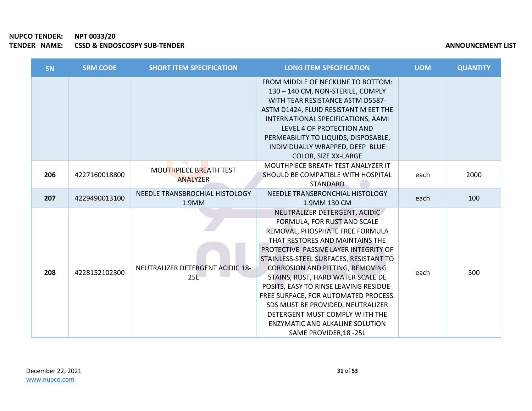| SN  | <b>SRM CODE</b> | <b>SHORT ITEM SPECIFICATION</b>           | <b>LONG ITEM SPECIFICATION</b>                                                                                                                                                                                                                                                                                                                                                                                                                                                                                                      | <b>UOM</b> | <b>QUANTITY</b> |
|-----|-----------------|-------------------------------------------|-------------------------------------------------------------------------------------------------------------------------------------------------------------------------------------------------------------------------------------------------------------------------------------------------------------------------------------------------------------------------------------------------------------------------------------------------------------------------------------------------------------------------------------|------------|-----------------|
|     |                 |                                           | FROM MIDDLE OF NECKLINE TO BOTTOM:<br>130 - 140 CM, NON-STERILE, COMPLY<br>WITH TEAR RESISTANCE ASTM D5587-<br>ASTM D1424, FLUID RESISTANT M EET THE<br>INTERNATIONAL SPECIFICATIONS, AAMI<br>LEVEL 4 OF PROTECTION AND<br>PERMEABILITY TO LIQUIDS, DISPOSABLE,<br>INDIVIDUALLY WRAPPED, DEEP BLUE<br>COLOR, SIZE XX-LARGE                                                                                                                                                                                                          |            |                 |
| 206 | 4227160018800   | MOUTHPIECE BREATH TEST<br><b>ANALYZER</b> | MOUTHPIECE BREATH TEST ANALYZER IT<br>SHOULD BE COMPATIBLE WITH HOSPITAL<br><b>STANDARD</b>                                                                                                                                                                                                                                                                                                                                                                                                                                         | each       | 2000            |
| 207 | 4229490013100   | NEEDLE TRANSBROCHIAL HISTOLOGY<br>1.9MM   | NEEDLE TRANSBRONCHIAL HISTOLOGY<br>1.9MM 130 CM                                                                                                                                                                                                                                                                                                                                                                                                                                                                                     | each       | 100             |
| 208 | 4228152102300   | NEUTRALIZER DETERGENT ACIDIC 18-<br>25L   | NEUTRALIZER DETERGENT, ACIDIC<br>FORMULA, FOR RUST AND SCALE<br>REMOVAL, PHOSPHATE FREE FORMULA<br>THAT RESTORES AND MAINTAINS THE<br>PROTECTIVE PASSIVE LAYER INTEGRITY OF<br>STAINLESS-STEEL SURFACES, RESISTANT TO<br><b>CORROSION AND PITTING, REMOVING</b><br>STAINS, RUST, HARD WATER SCALE DE<br>POSITS, EASY TO RINSE LEAVING RESIDUE-<br>FREE SURFACE, FOR AUTOMATED PROCESS.<br>SDS MUST BE PROVIDED, NEUTRALIZER<br>DETERGENT MUST COMPLY W ITH THE<br><b>ENZYMATIC AND ALKALINE SOLUTION</b><br>SAME PROVIDER, 18 - 25L | each       | 500             |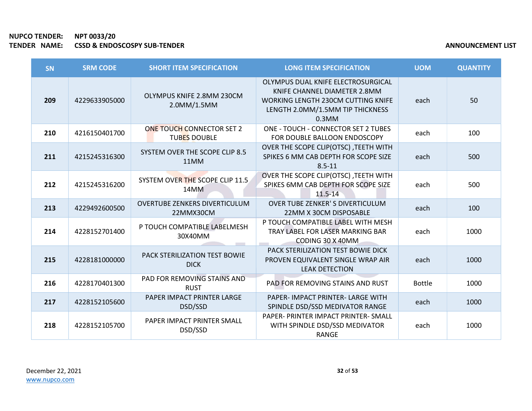| SN  | <b>SRM CODE</b> | <b>SHORT ITEM SPECIFICATION</b>                         | <b>LONG ITEM SPECIFICATION</b>                                                                                                                           | <b>UOM</b>    | <b>QUANTITY</b> |
|-----|-----------------|---------------------------------------------------------|----------------------------------------------------------------------------------------------------------------------------------------------------------|---------------|-----------------|
| 209 | 4229633905000   | OLYMPUS KNIFE 2.8MM 230CM<br>2.0MM/1.5MM                | OLYMPUS DUAL KNIFE ELECTROSURGICAL<br>KNIFE CHANNEL DIAMETER 2.8MM<br>WORKING LENGTH 230CM CUTTING KNIFE<br>LENGTH 2.0MM/1.5MM TIP THICKNESS<br>$0.3$ MM | each          | 50              |
| 210 | 4216150401700   | <b>ONE TOUCH CONNECTOR SET 2</b><br><b>TUBES DOUBLE</b> | ONE - TOUCH - CONNECTOR SET 2 TUBES<br>FOR DOUBLE BALLOON ENDOSCOPY                                                                                      | each          | 100             |
| 211 | 4215245316300   | SYSTEM OVER THE SCOPE CLIP 8.5<br>11MM                  | OVER THE SCOPE CLIP(OTSC), TEETH WITH<br>SPIKES 6 MM CAB DEPTH FOR SCOPE SIZE<br>$8.5 - 11$                                                              | each          | 500             |
| 212 | 4215245316200   | SYSTEM OVER THE SCOPE CLIP 11.5<br>14MM                 | OVER THE SCOPE CLIP(OTSC), TEETH WITH<br>SPIKES 6MM CAB DEPTH FOR SCOPE SIZE<br>$11.5 - 14$                                                              | each          | 500             |
| 213 | 4229492600500   | <b>OVERTUBE ZENKERS DIVERTICULUM</b><br>22MMX30CM       | <b>OVER TUBE ZENKER'S DIVERTICULUM</b><br>22MM X 30CM DISPOSABLE                                                                                         | each          | 100             |
| 214 | 4228152701400   | P TOUCH COMPATIBLE LABELMESH<br>30X40MM                 | P TOUCH COMPATIBLE LABEL WITH MESH<br>TRAY LABEL FOR LASER MARKING BAR<br>CODING 30 X 40MM                                                               | each          | 1000            |
| 215 | 4228181000000   | PACK STERILIZATION TEST BOWIE<br><b>DICK</b>            | <b>PACK STERILIZATION TEST BOWIE DICK</b><br>PROVEN EQUIVALENT SINGLE WRAP AIR<br><b>LEAK DETECTION</b>                                                  | each          | 1000            |
| 216 | 4228170401300   | PAD FOR REMOVING STAINS AND<br><b>RUST</b>              | <b>PAD FOR REMOVING STAINS AND RUST</b>                                                                                                                  | <b>Bottle</b> | 1000            |
| 217 | 4228152105600   | PAPER IMPACT PRINTER LARGE<br>DSD/SSD                   | PAPER- IMPACT PRINTER- LARGE WITH<br>SPINDLE DSD/SSD MEDIVATOR RANGE                                                                                     | each          | 1000            |
| 218 | 4228152105700   | PAPER IMPACT PRINTER SMALL<br>DSD/SSD                   | PAPER- PRINTER IMPACT PRINTER- SMALL<br>WITH SPINDLE DSD/SSD MEDIVATOR<br><b>RANGE</b>                                                                   | each          | 1000            |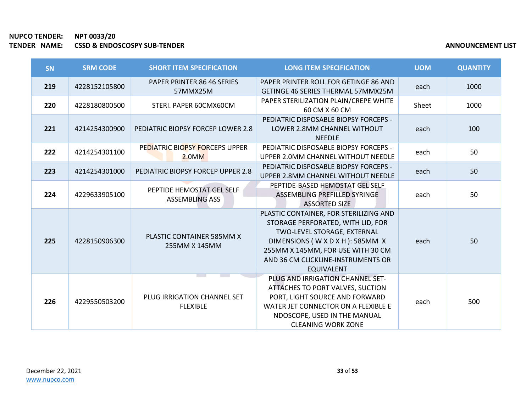| <b>SN</b> | <b>SRM CODE</b> | <b>SHORT ITEM SPECIFICATION</b>                    | <b>LONG ITEM SPECIFICATION</b>                                                                                                                                                                                                            | <b>UOM</b> | <b>QUANTITY</b> |
|-----------|-----------------|----------------------------------------------------|-------------------------------------------------------------------------------------------------------------------------------------------------------------------------------------------------------------------------------------------|------------|-----------------|
| 219       | 4228152105800   | PAPER PRINTER 86 46 SERIES<br>57MMX25M             | PAPER PRINTER ROLL FOR GETINGE 86 AND<br><b>GETINGE 46 SERIES THERMAL 57MMX25M</b>                                                                                                                                                        | each       | 1000            |
| 220       | 4228180800500   | STERI. PAPER 60CMX60CM                             | PAPER STERILIZATION PLAIN/CREPE WHITE<br>60 CM X 60 CM                                                                                                                                                                                    | Sheet      | 1000            |
| 221       | 4214254300900   | PEDIATRIC BIOPSY FORCEP LOWER 2.8                  | PEDIATRIC DISPOSABLE BIOPSY FORCEPS -<br>LOWER 2.8MM CHANNEL WITHOUT<br><b>NEEDLE</b>                                                                                                                                                     | each       | 100             |
| 222       | 4214254301100   | PEDIATRIC BIOPSY FORCEPS UPPER<br>2.0MM            | <b>PEDIATRIC DISPOSABLE BIOPSY FORCEPS -</b><br>UPPER 2.0MM CHANNEL WITHOUT NEEDLE                                                                                                                                                        | each       | 50              |
| 223       | 4214254301000   | PEDIATRIC BIOPSY FORCEP UPPER 2.8                  | PEDIATRIC DISPOSABLE BIOPSY FORCEPS -<br>UPPER 2.8MM CHANNEL WITHOUT NEEDLE                                                                                                                                                               | each       | 50              |
| 224       | 4229633905100   | PEPTIDE HEMOSTAT GEL SELF<br><b>ASSEMBLING ASS</b> | PEPTIDE-BASED HEMOSTAT GEL SELF<br>ASSEMBLING PREFILLED SYRINGE<br><b>ASSORTED SIZE</b>                                                                                                                                                   | each       | 50              |
| 225       | 4228150906300   | PLASTIC CONTAINER 585MM X<br>255MM X 145MM         | PLASTIC CONTAINER, FOR STERILIZING AND<br>STORAGE PERFORATED, WITH LID, FOR<br>TWO-LEVEL STORAGE, EXTERNAL<br>DIMENSIONS (WXDXH): 585MM X<br>255MM X 145MM, FOR USE WITH 30 CM<br>AND 36 CM CLICKLINE-INSTRUMENTS OR<br><b>EQUIVALENT</b> | each       | 50              |
| 226       | 4229550503200   | PLUG IRRIGATION CHANNEL SET<br><b>FLEXIBLE</b>     | PLUG AND IRRIGATION CHANNEL SET-<br>ATTACHES TO PORT VALVES, SUCTION<br>PORT, LIGHT SOURCE AND FORWARD<br>WATER JET CONNECTOR ON A FLEXIBLE E<br>NDOSCOPE, USED IN THE MANUAL<br><b>CLEANING WORK ZONE</b>                                | each       | 500             |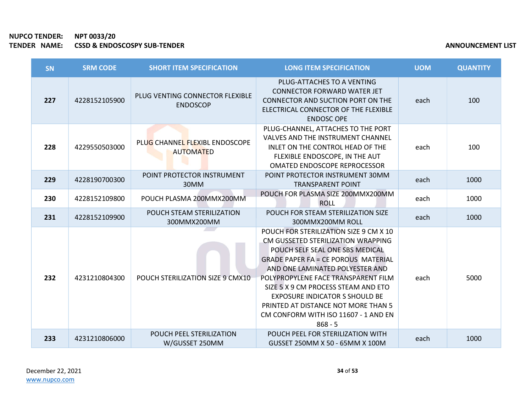| <b>SN</b> | <b>SRM CODE</b> | <b>SHORT ITEM SPECIFICATION</b>                    | <b>LONG ITEM SPECIFICATION</b>                                                                                                                                                                                                                                                                                                                                                                                      | <b>UOM</b> | <b>QUANTITY</b> |
|-----------|-----------------|----------------------------------------------------|---------------------------------------------------------------------------------------------------------------------------------------------------------------------------------------------------------------------------------------------------------------------------------------------------------------------------------------------------------------------------------------------------------------------|------------|-----------------|
| 227       | 4228152105900   | PLUG VENTING CONNECTOR FLEXIBLE<br><b>ENDOSCOP</b> | PLUG-ATTACHES TO A VENTING<br><b>CONNECTOR FORWARD WATER JET</b><br>CONNECTOR AND SUCTION PORT ON THE<br>ELECTRICAL CONNECTOR OF THE FLEXIBLE<br><b>ENDOSC OPE</b>                                                                                                                                                                                                                                                  | each       | 100             |
| 228       | 4229550503000   | PLUG CHANNEL FLEXIBL ENDOSCOPE<br><b>AUTOMATED</b> | PLUG-CHANNEL, ATTACHES TO THE PORT<br>VALVES AND THE INSTRUMENT CHANNEL<br>INLET ON THE CONTROL HEAD OF THE<br>FLEXIBLE ENDOSCOPE, IN THE AUT<br>OMATED ENDOSCOPE REPROCESSOR                                                                                                                                                                                                                                       | each       | 100             |
| 229       | 4228190700300   | POINT PROTECTOR INSTRUMENT<br>30MM                 | POINT PROTECTOR INSTRUMENT 30MM<br><b>TRANSPARENT POINT</b>                                                                                                                                                                                                                                                                                                                                                         | each       | 1000            |
| 230       | 4228152109800   | POUCH PLASMA 200MMX200MM                           | POUCH FOR PLASMA SIZE 200MMX200MM<br><b>ROLL</b>                                                                                                                                                                                                                                                                                                                                                                    | each       | 1000            |
| 231       | 4228152109900   | POUCH STEAM STERILIZATION<br>300MMX200MM           | POUCH FOR STEAM STERILIZATION SIZE<br>300MMX200MM ROLL                                                                                                                                                                                                                                                                                                                                                              | each       | 1000            |
| 232       | 4231210804300   | POUCH STERILIZATION SIZE 9 CMX10                   | POUCH FOR STERILIZATION SIZE 9 CM X 10<br>CM GUSSETED STERILIZATION WRAPPING<br>POUCH SELF SEAL ONE SBS MEDICAL<br><b>GRADE PAPER FA = CE POROUS MATERIAL</b><br>AND ONE LAMINATED POLYESTER AND<br>POLYPROPYLENE FACE TRANSPARENT FILM<br>SIZE 5 X 9 CM PROCESS STEAM AND ETO<br><b>EXPOSURE INDICATOR S SHOULD BE</b><br>PRINTED AT DISTANCE NOT MORE THAN 5<br>CM CONFORM WITH ISO 11607 - 1 AND EN<br>$868 - 5$ | each       | 5000            |
| 233       | 4231210806000   | POUCH PEEL STERILIZATION<br>W/GUSSET 250MM         | POUCH PEEL FOR STERILIZATION WITH<br>GUSSET 250MM X 50 - 65MM X 100M                                                                                                                                                                                                                                                                                                                                                | each       | 1000            |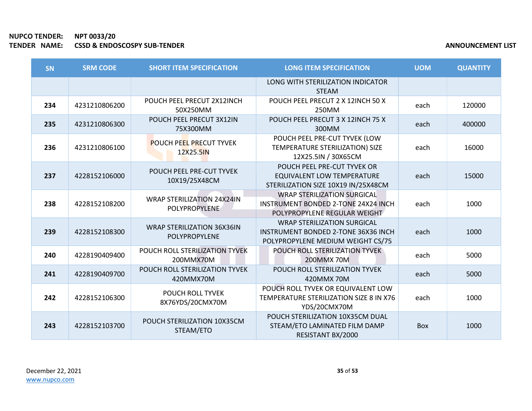×

| SN  | <b>SRM CODE</b> | <b>SHORT ITEM SPECIFICATION</b>                           | <b>LONG ITEM SPECIFICATION</b>                                                                                        | <b>UOM</b> | <b>QUANTITY</b> |
|-----|-----------------|-----------------------------------------------------------|-----------------------------------------------------------------------------------------------------------------------|------------|-----------------|
|     |                 |                                                           | LONG WITH STERILIZATION INDICATOR<br><b>STEAM</b>                                                                     |            |                 |
| 234 | 4231210806200   | POUCH PEEL PRECUT 2X12INCH<br>50X250MM                    | POUCH PEEL PRECUT 2 X 12INCH 50 X<br>250MM                                                                            | each       | 120000          |
| 235 | 4231210806300   | POUCH PEEL PRECUT 3X12IN<br>75X300MM                      | POUCH PEEL PRECUT 3 X 12INCH 75 X<br>300MM                                                                            | each       | 400000          |
| 236 | 4231210806100   | <b>POUCH PEEL PRECUT TYVEK</b><br>12X25.5IN               | POUCH PEEL PRE-CUT TYVEK (LOW<br>TEMPERATURE STERILIZATION) SIZE<br>12X25.5IN / 30X65CM                               | each       | 16000           |
| 237 | 4228152106000   | POUCH PEEL PRE-CUT TYVEK<br>10X19/25X48CM                 | POUCH PEEL PRE-CUT TYVEK OR<br><b>EQUIVALENT LOW TEMPERATURE</b><br>STERILIZATION SIZE 10X19 IN/25X48CM               | each       | 15000           |
| 238 | 4228152108200   | <b>WRAP STERILIZATION 24X24IN</b><br><b>POLYPROPYLENE</b> | <b>WRAP STERILIZATION SURGICAL</b><br>INSTRUMENT BONDED 2-TONE 24X24 INCH<br>POLYPROPYLENE REGULAR WEIGHT             | each       | 1000            |
| 239 | 4228152108300   | <b>WRAP STERILIZATION 36X36IN</b><br>POLYPROPYLENE        | <b>WRAP STERILIZATION SURGICAL</b><br><b>INSTRUMENT BONDED 2-TONE 36X36 INCH</b><br>POLYPROPYLENE MEDIUM WEIGHT CS/75 | each       | 1000            |
| 240 | 4228190409400   | POUCH ROLL STERILIZATION TYVEK<br>200MMX70M               | POUCH ROLL STERILIZATION TYVEK<br>200MMX 70M                                                                          | each       | 5000            |
| 241 | 4228190409700   | POUCH ROLL STERILIZATION TYVEK<br>420MMX70M               | POUCH ROLL STERILIZATION TYVEK<br>420MMX70M                                                                           | each       | 5000            |
| 242 | 4228152106300   | POUCH ROLL TYVEK<br>8X76YDS/20CMX70M                      | POUCH ROLL TYVEK OR EQUIVALENT LOW<br>TEMPERATURE STERILIZATION SIZE 8 IN X76<br>YDS/20CMX70M                         | each       | 1000            |
| 243 | 4228152103700   | POUCH STERILIZATION 10X35CM<br>STEAM/ETO                  | POUCH STERILIZATION 10X35CM DUAL<br>STEAM/ETO LAMINATED FILM DAMP<br>RESISTANT BX/2000                                | Box        | 1000            |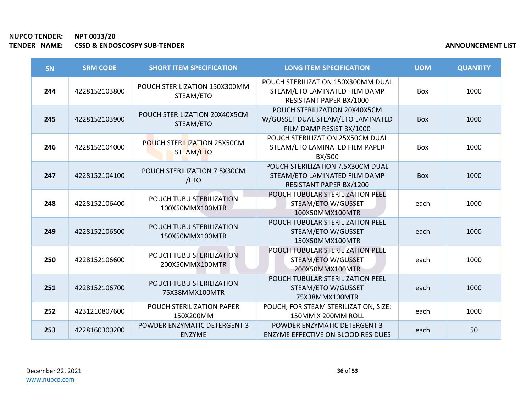| <b>SN</b> | <b>SRM CODE</b> | <b>SHORT ITEM SPECIFICATION</b>                      | <b>LONG ITEM SPECIFICATION</b>                                                                 | <b>UOM</b> | <b>QUANTITY</b> |
|-----------|-----------------|------------------------------------------------------|------------------------------------------------------------------------------------------------|------------|-----------------|
| 244       | 4228152103800   | POUCH STERILIZATION 150X300MM<br>STEAM/ETO           | POUCH STERILIZATION 150X300MM DUAL<br>STEAM/ETO LAMINATED FILM DAMP<br>RESISTANT PAPER BX/1000 | <b>Box</b> | 1000            |
| 245       | 4228152103900   | POUCH STERILIZATION 20X40X5CM<br>STEAM/ETO           | POUCH STERILIZATION 20X40X5CM<br>W/GUSSET DUAL STEAM/ETO LAMINATED<br>FILM DAMP RESIST BX/1000 | <b>Box</b> | 1000            |
| 246       | 4228152104000   | POUCH STERILIZATION 25X50CM<br>STEAM/ETO             | POUCH STERILIZATION 25X50CM DUAL<br>STEAM/ETO LAMINATED FILM PAPER<br>BX/500                   | Box        | 1000            |
| 247       | 4228152104100   | POUCH STERILIZATION 7.5X30CM<br>/ETO                 | POUCH STERILIZATION 7.5X30CM DUAL<br>STEAM/ETO LAMINATED FILM DAMP<br>RESISTANT PAPER BX/1200  | <b>Box</b> | 1000            |
| 248       | 4228152106400   | POUCH TUBU STERILIZATION<br>100X50MMX100MTR          | POUCH TUBULAR STERILIZATION PEEL<br>STEAM/ETO W/GUSSET<br>100X50MMX100MTR                      | each       | 1000            |
| 249       | 4228152106500   | POUCH TUBU STERILIZATION<br>150X50MMX100MTR          | POUCH TUBULAR STERILIZATION PEEL<br>STEAM/ETO W/GUSSET<br>150X50MMX100MTR                      | each       | 1000            |
| 250       | 4228152106600   | POUCH TUBU STERILIZATION<br>200X50MMX100MTR          | POUCH TUBULAR STERILIZATION PEEL<br>STEAM/ETO W/GUSSET<br>200X50MMX100MTR                      | each       | 1000            |
| 251       | 4228152106700   | POUCH TUBU STERILIZATION<br>75X38MMX100MTR           | POUCH TUBULAR STERILIZATION PEEL<br>STEAM/ETO W/GUSSET<br>75X38MMX100MTR                       | each       | 1000            |
| 252       | 4231210807600   | POUCH STERILIZATION PAPER<br>150X200MM               | POUCH, FOR STEAM STERILIZATION, SIZE:<br>150MM X 200MM ROLL                                    | each       | 1000            |
| 253       | 4228160300200   | <b>POWDER ENZYMATIC DETERGENT 3</b><br><b>ENZYME</b> | <b>POWDER ENZYMATIC DETERGENT 3</b><br><b>ENZYME EFFECTIVE ON BLOOD RESIDUES</b>               | each       | 50              |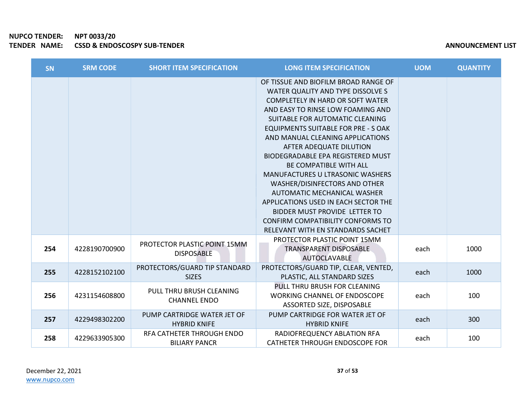| SN  | <b>SRM CODE</b> | <b>SHORT ITEM SPECIFICATION</b>                    | <b>LONG ITEM SPECIFICATION</b>                                                                                                                                                                                                                                                                                                                                                                                                                                                                                                                                                                                                                       | <b>UOM</b> | <b>QUANTITY</b> |
|-----|-----------------|----------------------------------------------------|------------------------------------------------------------------------------------------------------------------------------------------------------------------------------------------------------------------------------------------------------------------------------------------------------------------------------------------------------------------------------------------------------------------------------------------------------------------------------------------------------------------------------------------------------------------------------------------------------------------------------------------------------|------------|-----------------|
|     |                 |                                                    | OF TISSUE AND BIOFILM BROAD RANGE OF<br>WATER QUALITY AND TYPE DISSOLVE S<br><b>COMPLETELY IN HARD OR SOFT WATER</b><br>AND EASY TO RINSE LOW FOAMING AND<br>SUITABLE FOR AUTOMATIC CLEANING<br>EQUIPMENTS SUITABLE FOR PRE - S OAK<br>AND MANUAL CLEANING APPLICATIONS<br>AFTER ADEQUATE DILUTION<br><b>BIODEGRADABLE EPA REGISTERED MUST</b><br>BE COMPATIBLE WITH ALL<br><b>MANUFACTURES U LTRASONIC WASHERS</b><br>WASHER/DISINFECTORS AND OTHER<br>AUTOMATIC MECHANICAL WASHER<br>APPLICATIONS USED IN EACH SECTOR THE<br><b>BIDDER MUST PROVIDE LETTER TO</b><br><b>CONFIRM COMPATIBILITY CONFORMS TO</b><br>RELEVANT WITH EN STANDARDS SACHET |            |                 |
| 254 | 4228190700900   | PROTECTOR PLASTIC POINT 15MM<br><b>DISPOSABLE</b>  | PROTECTOR PLASTIC POINT 15MM<br><b>TRANSPARENT DISPOSABLE</b><br>AUTOCLAVABLE                                                                                                                                                                                                                                                                                                                                                                                                                                                                                                                                                                        | each       | 1000            |
| 255 | 4228152102100   | PROTECTORS/GUARD TIP STANDARD<br><b>SIZES</b>      | PROTECTORS/GUARD TIP, CLEAR, VENTED,<br>PLASTIC, ALL STANDARD SIZES                                                                                                                                                                                                                                                                                                                                                                                                                                                                                                                                                                                  | each       | 1000            |
| 256 | 4231154608800   | PULL THRU BRUSH CLEANING<br><b>CHANNEL ENDO</b>    | PULL THRU BRUSH FOR CLEANING<br><b>WORKING CHANNEL OF ENDOSCOPE</b><br>ASSORTED SIZE, DISPOSABLE                                                                                                                                                                                                                                                                                                                                                                                                                                                                                                                                                     | each       | 100             |
| 257 | 4229498302200   | PUMP CARTRIDGE WATER JET OF<br><b>HYBRID KNIFE</b> | PUMP CARTRIDGE FOR WATER JET OF<br><b>HYBRID KNIFE</b>                                                                                                                                                                                                                                                                                                                                                                                                                                                                                                                                                                                               | each       | 300             |
| 258 | 4229633905300   | RFA CATHETER THROUGH ENDO<br><b>BILIARY PANCR</b>  | RADIOFREQUENCY ABLATION RFA<br>CATHETER THROUGH ENDOSCOPE FOR                                                                                                                                                                                                                                                                                                                                                                                                                                                                                                                                                                                        | each       | 100             |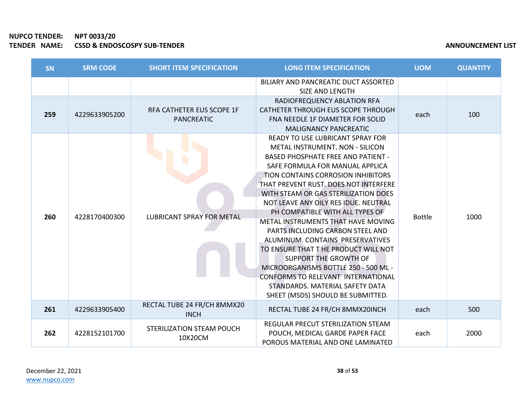| <b>SN</b> | <b>SRM CODE</b> | <b>SHORT ITEM SPECIFICATION</b>                | <b>LONG ITEM SPECIFICATION</b>                                                                                                                                                                                                                                                                                                                                                                                                                                                                                                                                                                                                                                                                                 | <b>UOM</b>    | <b>QUANTITY</b> |
|-----------|-----------------|------------------------------------------------|----------------------------------------------------------------------------------------------------------------------------------------------------------------------------------------------------------------------------------------------------------------------------------------------------------------------------------------------------------------------------------------------------------------------------------------------------------------------------------------------------------------------------------------------------------------------------------------------------------------------------------------------------------------------------------------------------------------|---------------|-----------------|
|           |                 |                                                | BILIARY AND PANCREATIC DUCT ASSORTED<br>SIZE AND LENGTH                                                                                                                                                                                                                                                                                                                                                                                                                                                                                                                                                                                                                                                        |               |                 |
| 259       | 4229633905200   | RFA CATHETER EUS SCOPE 1F<br><b>PANCREATIC</b> | RADIOFREQUENCY ABLATION RFA<br>CATHETER THROUGH EUS SCOPE THROUGH<br>FNA NEEDLE 1F DIAMETER FOR SOLID<br><b>MALIGNANCY PANCREATIC</b>                                                                                                                                                                                                                                                                                                                                                                                                                                                                                                                                                                          | each          | 100             |
| 260       | 4228170400300   | <b>LUBRICANT SPRAY FOR METAL</b>               | <b>READY TO USE LUBRICANT SPRAY FOR</b><br>METAL INSTRUMENT. NON - SILICON<br><b>BASED PHOSPHATE FREE AND PATIENT -</b><br>SAFE FORMULA FOR MANUAL APPLICA<br>TION CONTAINS CORROSION INHIBITORS<br>THAT PREVENT RUST. DOES NOT INTERFERE<br>WITH STEAM OR GAS STERILIZATION DOES<br>NOT LEAVE ANY OILY RES IDUE. NEUTRAL<br>PH COMPATIBLE WITH ALL TYPES OF<br>METAL INSTRUMENTS THAT HAVE MOVING<br>PARTS INCLUDING CARBON STEEL AND<br>ALUMINUM. CONTAINS PRESERVATIVES<br>TO ENSURE THAT THE PRODUCT WILL NOT<br><b>SUPPORT THE GROWTH OF</b><br>MICROORGANISMS BOTTLE 250 - 500 ML -<br><b>CONFORMS TO RELEVANT INTERNATIONAL</b><br>STANDARDS. MATERIAL SAFETY DATA<br>SHEET (MSDS) SHOULD BE SUBMITTED. | <b>Bottle</b> | 1000            |
| 261       | 4229633905400   | RECTAL TUBE 24 FR/CH 8MMX20<br><b>INCH</b>     | RECTAL TUBE 24 FR/CH 8MMX20INCH                                                                                                                                                                                                                                                                                                                                                                                                                                                                                                                                                                                                                                                                                | each          | 500             |
| 262       | 4228152101700   | STERILIZATION STEAM POUCH<br>10X20CM           | REGULAR PRECUT STERILIZATION STEAM<br>POUCH, MEDICAL GARDE PAPER FACE<br>POROUS MATERIAL AND ONE LAMINATED                                                                                                                                                                                                                                                                                                                                                                                                                                                                                                                                                                                                     | each          | 2000            |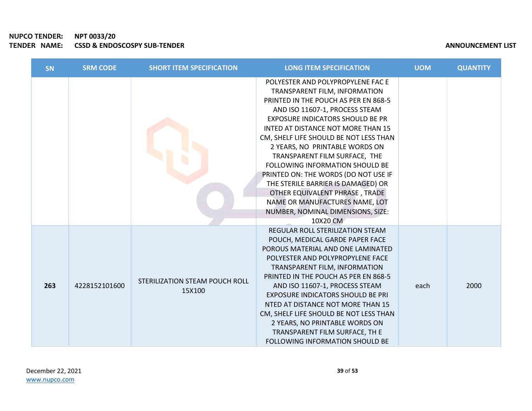# NUPCO TENDER: NPT 0033/20 TENDER NAME: CSSD & ENDOSCOSPY SUB-TENDER

| <b>SN</b> | <b>SRM CODE</b> | <b>SHORT ITEM SPECIFICATION</b>          | <b>LONG ITEM SPECIFICATION</b>                                                                                                                                                                                                                                                                                                                                                                                                                                                                                                                                            | <b>UOM</b> | <b>QUANTITY</b> |
|-----------|-----------------|------------------------------------------|---------------------------------------------------------------------------------------------------------------------------------------------------------------------------------------------------------------------------------------------------------------------------------------------------------------------------------------------------------------------------------------------------------------------------------------------------------------------------------------------------------------------------------------------------------------------------|------------|-----------------|
|           |                 |                                          | POLYESTER AND POLYPROPYLENE FAC E<br>TRANSPARENT FILM, INFORMATION<br>PRINTED IN THE POUCH AS PER EN 868-5<br>AND ISO 11607-1, PROCESS STEAM<br>EXPOSURE INDICATORS SHOULD BE PR<br>INTED AT DISTANCE NOT MORE THAN 15<br>CM, SHELF LIFE SHOULD BE NOT LESS THAN<br>2 YEARS, NO PRINTABLE WORDS ON<br>TRANSPARENT FILM SURFACE, THE<br>FOLLOWING INFORMATION SHOULD BE<br>PRINTED ON: THE WORDS (DO NOT USE IF<br>THE STERILE BARRIER IS DAMAGED) OR<br>OTHER EQUIVALENT PHRASE, TRADE<br>NAME OR MANUFACTURES NAME, LOT<br>NUMBER, NOMINAL DIMENSIONS, SIZE:<br>10X20 CM |            |                 |
| 263       | 4228152101600   | STERILIZATION STEAM POUCH ROLL<br>15X100 | REGULAR ROLL STERILIZATION STEAM<br>POUCH, MEDICAL GARDE PAPER FACE<br>POROUS MATERIAL AND ONE LAMINATED<br>POLYESTER AND POLYPROPYLENE FACE<br>TRANSPARENT FILM, INFORMATION<br>PRINTED IN THE POUCH AS PER EN 868-5<br>AND ISO 11607-1, PROCESS STEAM<br><b>EXPOSURE INDICATORS SHOULD BE PRI</b><br>NTED AT DISTANCE NOT MORE THAN 15<br>CM, SHELF LIFE SHOULD BE NOT LESS THAN<br>2 YEARS, NO PRINTABLE WORDS ON<br>TRANSPARENT FILM SURFACE, TH E<br><b>FOLLOWING INFORMATION SHOULD BE</b>                                                                          | each       | 2000            |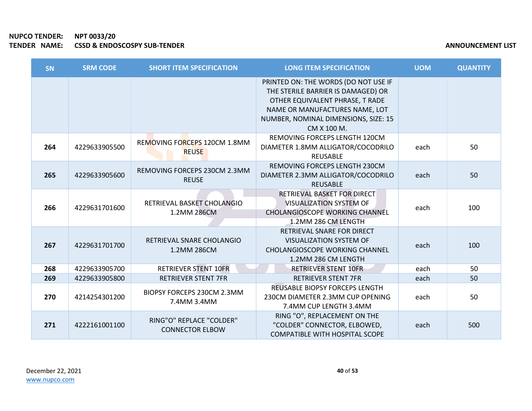**COL** 

| SN  | <b>SRM CODE</b> | <b>SHORT ITEM SPECIFICATION</b>                    | <b>LONG ITEM SPECIFICATION</b>                                                                                                                                                                         | <b>UOM</b> | <b>QUANTITY</b> |
|-----|-----------------|----------------------------------------------------|--------------------------------------------------------------------------------------------------------------------------------------------------------------------------------------------------------|------------|-----------------|
|     |                 |                                                    | PRINTED ON: THE WORDS (DO NOT USE IF<br>THE STERILE BARRIER IS DAMAGED) OR<br>OTHER EQUIVALENT PHRASE, T RADE<br>NAME OR MANUFACTURES NAME, LOT<br>NUMBER, NOMINAL DIMENSIONS, SIZE: 15<br>CM X 100 M. |            |                 |
| 264 | 4229633905500   | REMOVING FORCEPS 120CM 1.8MM<br><b>REUSE</b>       | REMOVING FORCEPS LENGTH 120CM<br>DIAMETER 1.8MM ALLIGATOR/COCODRILO<br><b>REUSABLE</b>                                                                                                                 | each       | 50              |
| 265 | 4229633905600   | REMOVING FORCEPS 230CM 2.3MM<br><b>REUSE</b>       | REMOVING FORCEPS LENGTH 230CM<br>DIAMETER 2.3MM ALLIGATOR/COCODRILO<br><b>REUSABLE</b>                                                                                                                 | each       | 50              |
| 266 | 4229631701600   | RETRIEVAL BASKET CHOLANGIO<br>1.2MM 286CM          | RETRIEVAL BASKET FOR DIRECT<br><b>VISUALIZATION SYSTEM OF</b><br><b>CHOLANGIOSCOPE WORKING CHANNEL</b><br>1.2MM 286 CM LENGTH                                                                          | each       | 100             |
| 267 | 4229631701700   | RETRIEVAL SNARE CHOLANGIO<br>1.2MM 286CM           | RETRIEVAL SNARE FOR DIRECT<br><b>VISUALIZATION SYSTEM OF</b><br><b>CHOLANGIOSCOPE WORKING CHANNEL</b><br>1.2MM 286 CM LENGTH                                                                           | each       | 100             |
| 268 | 4229633905700   | <b>RETRIEVER STENT 10FR</b>                        | <b>RETRIEVER STENT 10FR</b>                                                                                                                                                                            | each       | 50              |
| 269 | 4229633905800   | <b>RETRIEVER STENT 7FR</b>                         | <b>RETRIEVER STENT 7FR</b>                                                                                                                                                                             | each       | 50              |
| 270 | 4214254301200   | BIOPSY FORCEPS 230CM 2.3MM<br>7.4MM 3.4MM          | <b>REUSABLE BIOPSY FORCEPS LENGTH</b><br>230CM DIAMETER 2.3MM CUP OPENING<br>7.4MM CUP LENGTH 3.4MM                                                                                                    | each       | 50              |
| 271 | 4222161001100   | RING"O" REPLACE "COLDER"<br><b>CONNECTOR ELBOW</b> | RING "O", REPLACEMENT ON THE<br>"COLDER" CONNECTOR, ELBOWED,<br><b>COMPATIBLE WITH HOSPITAL SCOPE</b>                                                                                                  | each       | 500             |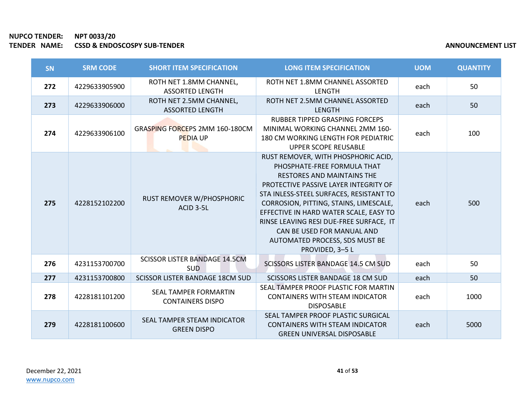**COL** 

| <b>SN</b> | <b>SRM CODE</b> | <b>SHORT ITEM SPECIFICATION</b>                    | <b>LONG ITEM SPECIFICATION</b>                                                                                                                                                                                                                                                                                                                                                                                | <b>UOM</b> | <b>QUANTITY</b> |
|-----------|-----------------|----------------------------------------------------|---------------------------------------------------------------------------------------------------------------------------------------------------------------------------------------------------------------------------------------------------------------------------------------------------------------------------------------------------------------------------------------------------------------|------------|-----------------|
| 272       | 4229633905900   | ROTH NET 1.8MM CHANNEL,<br><b>ASSORTED LENGTH</b>  | ROTH NET 1.8MM CHANNEL ASSORTED<br><b>LENGTH</b>                                                                                                                                                                                                                                                                                                                                                              | each       | 50              |
| 273       | 4229633906000   | ROTH NET 2.5MM CHANNEL,<br><b>ASSORTED LENGTH</b>  | ROTH NET 2.5MM CHANNEL ASSORTED<br><b>LENGTH</b>                                                                                                                                                                                                                                                                                                                                                              | each       | 50              |
| 274       | 4229633906100   | GRASPING FORCEPS 2MM 160-180CM<br><b>PEDIA UP</b>  | <b>RUBBER TIPPED GRASPING FORCEPS</b><br>MINIMAL WORKING CHANNEL 2MM 160-<br>180 CM WORKING LENGTH FOR PEDIATRIC<br><b>UPPER SCOPE REUSABLE</b>                                                                                                                                                                                                                                                               | each       | 100             |
| 275       | 4228152102200   | RUST REMOVER W/PHOSPHORIC<br>ACID 3-5L             | RUST REMOVER, WITH PHOSPHORIC ACID,<br>PHOSPHATE-FREE FORMULA THAT<br><b>RESTORES AND MAINTAINS THE</b><br>PROTECTIVE PASSIVE LAYER INTEGRITY OF<br>STA INLESS-STEEL SURFACES, RESISTANT TO<br>CORROSION, PITTING, STAINS, LIMESCALE,<br>EFFECTIVE IN HARD WATER SCALE, EASY TO<br>RINSE LEAVING RESI DUE-FREE SURFACE, IT<br>CAN BE USED FOR MANUAL AND<br>AUTOMATED PROCESS, SDS MUST BE<br>PROVIDED, 3-5 L | each       | 500             |
| 276       | 4231153700700   | <b>SCISSOR LISTER BANDAGE 14.5CM</b><br><b>SUD</b> | <b>SCISSORS LISTER BANDAGE 14.5 CM SUD</b>                                                                                                                                                                                                                                                                                                                                                                    | each       | 50              |
| 277       | 4231153700800   | SCISSOR LISTER BANDAGE 18CM SUD                    | <b>SCISSORS LISTER BANDAGE 18 CM SUD</b>                                                                                                                                                                                                                                                                                                                                                                      | each       | 50              |
| 278       | 4228181101200   | SEAL TAMPER FORMARTIN<br><b>CONTAINERS DISPO</b>   | SEAL TAMPER PROOF PLASTIC FOR MARTIN<br><b>CONTAINERS WITH STEAM INDICATOR</b><br><b>DISPOSABLE</b>                                                                                                                                                                                                                                                                                                           | each       | 1000            |
| 279       | 4228181100600   | SEAL TAMPER STEAM INDICATOR<br><b>GREEN DISPO</b>  | SEAL TAMPER PROOF PLASTIC SURGICAL<br><b>CONTAINERS WITH STEAM INDICATOR</b><br><b>GREEN UNIVERSAL DISPOSABLE</b>                                                                                                                                                                                                                                                                                             | each       | 5000            |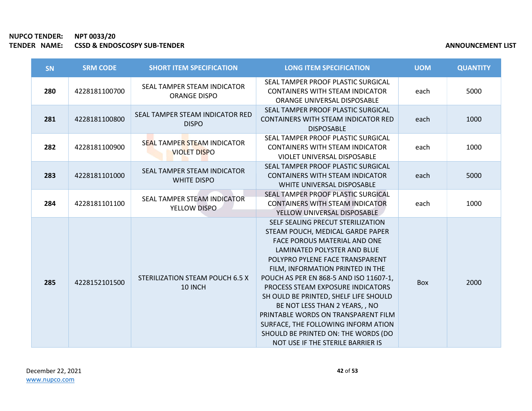| <b>SN</b> | <b>SRM CODE</b> | <b>SHORT ITEM SPECIFICATION</b>                    | <b>LONG ITEM SPECIFICATION</b>                                                                                                                                                                                                                                                                                                                                                                                                                                                                                                         | <b>UOM</b> | <b>QUANTITY</b> |
|-----------|-----------------|----------------------------------------------------|----------------------------------------------------------------------------------------------------------------------------------------------------------------------------------------------------------------------------------------------------------------------------------------------------------------------------------------------------------------------------------------------------------------------------------------------------------------------------------------------------------------------------------------|------------|-----------------|
| 280       | 4228181100700   | SEAL TAMPER STEAM INDICATOR<br><b>ORANGE DISPO</b> | SEAL TAMPER PROOF PLASTIC SURGICAL<br><b>CONTAINERS WITH STEAM INDICATOR</b><br>ORANGE UNIVERSAL DISPOSABLE                                                                                                                                                                                                                                                                                                                                                                                                                            | each       | 5000            |
| 281       | 4228181100800   | SEAL TAMPER STEAM INDICATOR RED<br><b>DISPO</b>    | SEAL TAMPER PROOF PLASTIC SURGICAL<br><b>CONTAINERS WITH STEAM INDICATOR RED</b><br><b>DISPOSABLE</b>                                                                                                                                                                                                                                                                                                                                                                                                                                  | each       | 1000            |
| 282       | 4228181100900   | SEAL TAMPER STEAM INDICATOR<br><b>VIOLET DISPO</b> | SEAL TAMPER PROOF PLASTIC SURGICAL<br><b>CONTAINERS WITH STEAM INDICATOR</b><br>VIOLET UNIVERSAL DISPOSABLE                                                                                                                                                                                                                                                                                                                                                                                                                            | each       | 1000            |
| 283       | 4228181101000   | SEAL TAMPER STEAM INDICATOR<br><b>WHITE DISPO</b>  | SEAL TAMPER PROOF PLASTIC SURGICAL<br><b>CONTAINERS WITH STEAM INDICATOR</b><br>WHITE UNIVERSAL DISPOSABLE                                                                                                                                                                                                                                                                                                                                                                                                                             | each       | 5000            |
| 284       | 4228181101100   | SEAL TAMPER STEAM INDICATOR<br>YELLOW DISPO        | SEAL TAMPER PROOF PLASTIC SURGICAL<br><b>CONTAINERS WITH STEAM INDICATOR</b><br>YELLOW UNIVERSAL DISPOSABLE                                                                                                                                                                                                                                                                                                                                                                                                                            | each       | 1000            |
| 285       | 4228152101500   | STERILIZATION STEAM POUCH 6.5 X<br>10 INCH         | SELF SEALING PRECUT STERILIZATION<br>STEAM POUCH, MEDICAL GARDE PAPER<br><b>FACE POROUS MATERIAL AND ONE</b><br>LAMINATED POLYSTER AND BLUE<br>POLYPRO PYLENE FACE TRANSPARENT<br>FILM, INFORMATION PRINTED IN THE<br>POUCH AS PER EN 868-5 AND ISO 11607-1,<br>PROCESS STEAM EXPOSURE INDICATORS<br>SH OULD BE PRINTED, SHELF LIFE SHOULD<br>BE NOT LESS THAN 2 YEARS, , NO<br>PRINTABLE WORDS ON TRANSPARENT FILM<br>SURFACE, THE FOLLOWING INFORM ATION<br>SHOULD BE PRINTED ON: THE WORDS (DO<br>NOT USE IF THE STERILE BARRIER IS | <b>Box</b> | 2000            |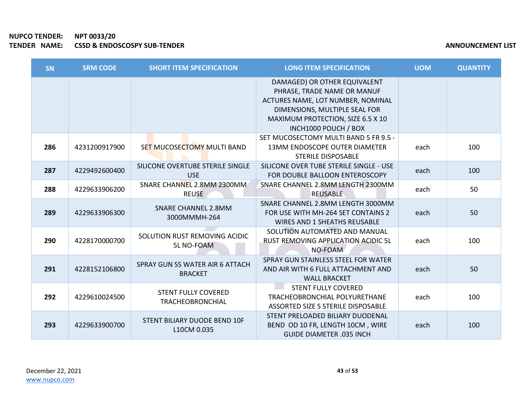| <b>SN</b> | <b>SRM CODE</b> | <b>SHORT ITEM SPECIFICATION</b>                       | <b>LONG ITEM SPECIFICATION</b>                                                                                                                                                                 | <b>UOM</b> | <b>QUANTITY</b> |
|-----------|-----------------|-------------------------------------------------------|------------------------------------------------------------------------------------------------------------------------------------------------------------------------------------------------|------------|-----------------|
|           |                 |                                                       | DAMAGED) OR OTHER EQUIVALENT<br>PHRASE, TRADE NAME OR MANUF<br>ACTURES NAME, LOT NUMBER, NOMINAL<br>DIMENSIONS, MULTIPLE SEAL FOR<br>MAXIMUM PROTECTION, SIZE 6.5 X 10<br>INCH1000 POUCH / BOX |            |                 |
| 286       | 4231200917900   | SET MUCOSECTOMY MULTI BAND                            | SET MUCOSECTOMY MULTI BAND 5 FR 9.5 -<br><b>13MM ENDOSCOPE OUTER DIAMETER</b><br><b>STERILE DISPOSABLE</b>                                                                                     | each       | 100             |
| 287       | 4229492600400   | SILICONE OVERTUBE STERILE SINGLE<br><b>USE</b>        | SILICONE OVER TUBE STERILE SINGLE - USE<br>FOR DOUBLE BALLOON ENTEROSCOPY                                                                                                                      | each       | 100             |
| 288       | 4229633906200   | SNARE CHANNEL 2.8MM 2300MM<br><b>REUSE</b>            | SNARE CHANNEL 2.8MM LENGTH 2300MM<br><b>REUSABLE</b>                                                                                                                                           | each       | 50              |
| 289       | 4229633906300   | <b>SNARE CHANNEL 2.8MM</b><br>3000MMMH-264            | SNARE CHANNEL 2.8MM LENGTH 3000MM<br>FOR USE WITH MH-264 SET CONTAINS 2<br><b>WIRES AND 1 SHEATHS REUSABLE</b>                                                                                 | each       | 50              |
| 290       | 4228170000700   | SOLUTION RUST REMOVING ACIDIC<br>5L NO-FOAM           | SOLUTION AUTOMATED AND MANUAL<br>RUST REMOVING APPLICATION ACIDIC 5L<br>NO-FOAM                                                                                                                | each       | 100             |
| 291       | 4228152106800   | SPRAY GUN SS WATER AIR 6 ATTACH<br><b>BRACKET</b>     | SPRAY GUN STAINLESS STEEL FOR WATER<br>AND AIR WITH 6 FULL ATTACHMENT AND<br><b>WALL BRACKET</b>                                                                                               | each       | 50              |
| 292       | 4229610024500   | <b>STENT FULLY COVERED</b><br><b>TRACHEOBRONCHIAL</b> | <b>STENT FULLY COVERED</b><br>TRACHEOBRONCHIAL POLYURETHANE<br>ASSORTED SIZE S STERILE DISPOSABLE                                                                                              | each       | 100             |
| 293       | 4229633900700   | STENT BILIARY DUODE BEND 10F<br>L10CM 0.035           | STENT PRELOADED BILIARY DUODENAL<br>BEND OD 10 FR, LENGTH 10CM, WIRE<br><b>GUIDE DIAMETER .035 INCH</b>                                                                                        | each       | 100             |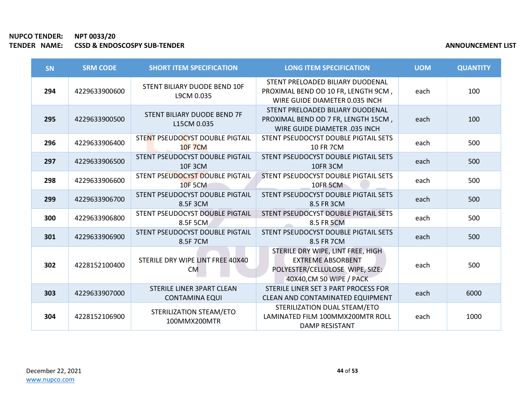| SN  | <b>SRM CODE</b> | <b>SHORT ITEM SPECIFICATION</b>                           | <b>LONG ITEM SPECIFICATION</b>                                                                                               | <b>UOM</b> | <b>QUANTITY</b> |
|-----|-----------------|-----------------------------------------------------------|------------------------------------------------------------------------------------------------------------------------------|------------|-----------------|
| 294 | 4229633900600   | STENT BILIARY DUODE BEND 10F<br>L9CM 0.035                | STENT PRELOADED BILIARY DUODENAL<br>PROXIMAL BEND OD 10 FR, LENGTH 9CM,<br>WIRE GUIDE DIAMETER 0.035 INCH                    | each       | 100             |
| 295 | 4229633900500   | STENT BILIARY DUODE BEND 7F<br>L15CM 0.035                | STENT PRELOADED BILIARY DUODENAL<br>PROXIMAL BEND OD 7 FR, LENGTH 15CM,<br><b>WIRE GUIDE DIAMETER .035 INCH</b>              | each       | 100             |
| 296 | 4229633906400   | STENT PSEUDOCYST DOUBLE PIGTAIL<br><b>10F 7CM</b>         | STENT PSEUDOCYST DOUBLE PIGTAIL SETS<br><b>10 FR 7CM</b>                                                                     | each       | 500             |
| 297 | 4229633906500   | STENT PSEUDOCYST DOUBLE PIGTAIL<br><b>10F 3CM</b>         | STENT PSEUDOCYST DOUBLE PIGTAIL SETS<br>10FR 3CM                                                                             | each       | 500             |
| 298 | 4229633906600   | STENT PSEUDOCYST DOUBLE PIGTAIL<br><b>10F 5CM</b>         | STENT PSEUDOCYST DOUBLE PIGTAIL SETS<br><b>10FR 5CM</b>                                                                      | each       | 500             |
| 299 | 4229633906700   | STENT PSEUDOCYST DOUBLE PIGTAIL<br>8.5F 3CM               | STENT PSEUDOCYST DOUBLE PIGTAIL SETS<br>8.5 FR 3CM                                                                           | each       | 500             |
| 300 | 4229633906800   | STENT PSEUDOCYST DOUBLE PIGTAIL<br>8.5F 5CM               | STENT PSEUDOCYST DOUBLE PIGTAIL SETS<br>8.5 FR 5CM                                                                           | each       | 500             |
| 301 | 4229633906900   | STENT PSEUDOCYST DOUBLE PIGTAIL<br>8.5F 7CM               | STENT PSEUDOCYST DOUBLE PIGTAIL SETS<br>8.5 FR 7CM                                                                           | each       | 500             |
| 302 | 4228152100400   | STERILE DRY WIPE LINT FREE 40X40<br><b>CM</b>             | STERILE DRY WIPE, LINT FREE, HIGH<br><b>EXTREME ABSORBENT</b><br>POLYESTER/CELLULOSE WIPE, SIZE:<br>40X40, CM 50 WIPE / PACK | each       | 500             |
| 303 | 4229633907000   | <b>STERILE LINER 3PART CLEAN</b><br><b>CONTAMINA EQUI</b> | STERILE LINER SET 3 PART PROCESS FOR<br>CLEAN AND CONTAMINATED EQUIPMENT                                                     | each       | 6000            |
| 304 | 4228152106900   | STERILIZATION STEAM/ETO<br>100MMX200MTR                   | STERILIZATION DUAL STEAM/ETO<br>LAMINATED FILM 100MMX200MTR ROLL<br>DAMP RESISTANT                                           | each       | 1000            |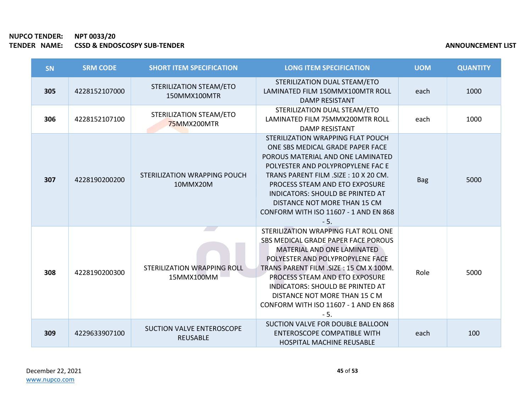| SN  | <b>SRM CODE</b> | <b>SHORT ITEM SPECIFICATION</b>                     | <b>LONG ITEM SPECIFICATION</b>                                                                                                                                                                                                                                                                                                                          | <b>UOM</b> | <b>QUANTITY</b> |
|-----|-----------------|-----------------------------------------------------|---------------------------------------------------------------------------------------------------------------------------------------------------------------------------------------------------------------------------------------------------------------------------------------------------------------------------------------------------------|------------|-----------------|
| 305 | 4228152107000   | STERILIZATION STEAM/ETO<br>150MMX100MTR             | STERILIZATION DUAL STEAM/ETO<br>LAMINATED FILM 150MMX100MTR ROLL<br><b>DAMP RESISTANT</b>                                                                                                                                                                                                                                                               | each       | 1000            |
| 306 | 4228152107100   | STERILIZATION STEAM/ETO<br>75MMX200MTR              | STERILIZATION DUAL STEAM/ETO<br>LAMINATED FILM 75MMX200MTR ROLL<br><b>DAMP RESISTANT</b>                                                                                                                                                                                                                                                                | each       | 1000            |
| 307 | 4228190200200   | STERILIZATION WRAPPING POUCH<br>10MMX20M            | STERILIZATION WRAPPING FLAT POUCH<br>ONE SBS MEDICAL GRADE PAPER FACE<br>POROUS MATERIAL AND ONE LAMINATED<br>POLYESTER AND POLYPROPYLENE FAC E<br>TRANS PARENT FILM .SIZE: 10 X 20 CM.<br>PROCESS STEAM AND ETO EXPOSURE<br>INDICATORS: SHOULD BE PRINTED AT<br>DISTANCE NOT MORE THAN 15 CM<br>CONFORM WITH ISO 11607 - 1 AND EN 868<br>$-5.$         | <b>Bag</b> | 5000            |
| 308 | 4228190200300   | STERILIZATION WRAPPING ROLL<br>15MMX100MM           | STERILIZATION WRAPPING FLAT ROLL ONE<br>SBS MEDICAL GRADE PAPER FACE POROUS<br>MATERIAL AND ONE LAMINATED<br>POLYESTER AND POLYPROPYLENE FACE<br>TRANS PARENT FILM .SIZE: 15 CM X 100M.<br>PROCESS STEAM AND ETO EXPOSURE<br><b>INDICATORS: SHOULD BE PRINTED AT</b><br>DISTANCE NOT MORE THAN 15 C M<br>CONFORM WITH ISO 11607 - 1 AND EN 868<br>$-5.$ | Role       | 5000            |
| 309 | 4229633907100   | <b>SUCTION VALVE ENTEROSCOPE</b><br><b>REUSABLE</b> | SUCTION VALVE FOR DOUBLE BALLOON<br><b>ENTEROSCOPE COMPATIBLE WITH</b><br><b>HOSPITAL MACHINE REUSABLE</b>                                                                                                                                                                                                                                              | each       | 100             |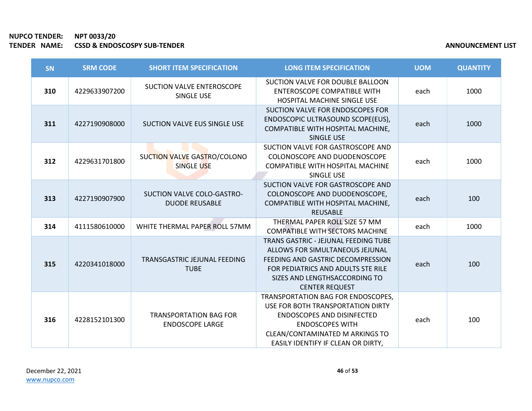| <b>SN</b> | <b>SRM CODE</b> | <b>SHORT ITEM SPECIFICATION</b>                         | <b>LONG ITEM SPECIFICATION</b>                                                                                                                                                                                      | <b>UOM</b> | <b>QUANTITY</b> |
|-----------|-----------------|---------------------------------------------------------|---------------------------------------------------------------------------------------------------------------------------------------------------------------------------------------------------------------------|------------|-----------------|
| 310       | 4229633907200   | <b>SUCTION VALVE ENTEROSCOPE</b><br>SINGLE USE          | SUCTION VALVE FOR DOUBLE BALLOON<br><b>ENTEROSCOPE COMPATIBLE WITH</b><br><b>HOSPITAL MACHINE SINGLE USE</b>                                                                                                        | each       | 1000            |
| 311       | 4227190908000   | SUCTION VALVE EUS SINGLE USE                            | SUCTION VALVE FOR ENDOSCOPES FOR<br>ENDOSCOPIC ULTRASOUND SCOPE(EUS),<br>COMPATIBLE WITH HOSPITAL MACHINE,<br><b>SINGLE USE</b>                                                                                     | each       | 1000            |
| 312       | 4229631701800   | SUCTION VALVE GASTRO/COLONO<br>SINGLE USE               | SUCTION VALVE FOR GASTROSCOPE AND<br>COLONOSCOPE AND DUODENOSCOPE<br>COMPATIBLE WITH HOSPITAL MACHINE<br>SINGLE USE                                                                                                 | each       | 1000            |
| 313       | 4227190907900   | SUCTION VALVE COLO-GASTRO-<br><b>DUODE REUSABLE</b>     | SUCTION VALVE FOR GASTROSCOPE AND<br>COLONOSCOPE AND DUODENOSCOPE,<br>COMPATIBLE WITH HOSPITAL MACHINE,<br><b>REUSABLE</b>                                                                                          | each       | 100             |
| 314       | 4111580610000   | WHITE THERMAL PAPER ROLL 57MM                           | THERMAL PAPER ROLL SIZE 57 MM<br><b>COMPATIBLE WITH SECTORS MACHINE</b>                                                                                                                                             | each       | 1000            |
| 315       | 4220341018000   | TRANSGASTRIC JEJUNAL FEEDING<br><b>TUBE</b>             | <b>TRANS GASTRIC - JEJUNAL FEEDING TUBE</b><br>ALLOWS FOR SIMULTANEOUS JEJUNAL<br>FEEDING AND GASTRIC DECOMPRESSION<br>FOR PEDIATRICS AND ADULTS STE RILE<br>SIZES AND LENGTHSACCORDING TO<br><b>CENTER REQUEST</b> | each       | 100             |
| 316       | 4228152101300   | <b>TRANSPORTATION BAG FOR</b><br><b>ENDOSCOPE LARGE</b> | TRANSPORTATION BAG FOR ENDOSCOPES,<br>USE FOR BOTH TRANSPORTATION DIRTY<br>ENDOSCOPES AND DISINFECTED<br><b>ENDOSCOPES WITH</b><br>CLEAN/CONTAMINATED M ARKINGS TO<br>EASILY IDENTIFY IF CLEAN OR DIRTY,            | each       | 100             |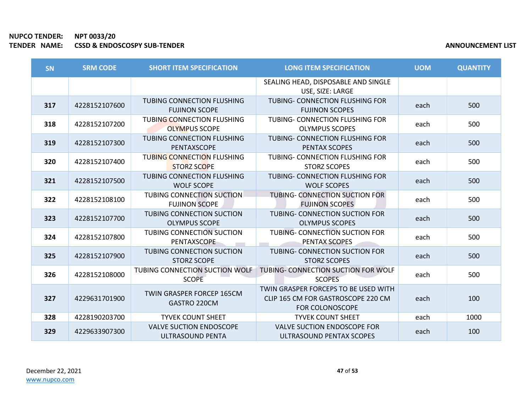| <b>SN</b> | <b>SRM CODE</b> | <b>SHORT ITEM SPECIFICATION</b>                          | <b>LONG ITEM SPECIFICATION</b>                                                                       | <b>UOM</b> | <b>QUANTITY</b> |
|-----------|-----------------|----------------------------------------------------------|------------------------------------------------------------------------------------------------------|------------|-----------------|
|           |                 |                                                          | SEALING HEAD, DISPOSABLE AND SINGLE<br>USE, SIZE: LARGE                                              |            |                 |
| 317       | 4228152107600   | TUBING CONNECTION FLUSHING<br><b>FUJINON SCOPE</b>       | TUBING- CONNECTION FLUSHING FOR<br><b>FUJINON SCOPES</b>                                             | each       | 500             |
| 318       | 4228152107200   | TUBING CONNECTION FLUSHING<br><b>OLYMPUS SCOPE</b>       | TUBING- CONNECTION FLUSHING FOR<br><b>OLYMPUS SCOPES</b>                                             | each       | 500             |
| 319       | 4228152107300   | TUBING CONNECTION FLUSHING<br>PENTAXSCOPE                | TUBING- CONNECTION FLUSHING FOR<br><b>PENTAX SCOPES</b>                                              | each       | 500             |
| 320       | 4228152107400   | <b>TUBING CONNECTION FLUSHING</b><br><b>STORZ SCOPE</b>  | TUBING- CONNECTION FLUSHING FOR<br><b>STORZ SCOPES</b>                                               | each       | 500             |
| 321       | 4228152107500   | <b>TUBING CONNECTION FLUSHING</b><br><b>WOLF SCOPE</b>   | TUBING- CONNECTION FLUSHING FOR<br><b>WOLF SCOPES</b>                                                | each       | 500             |
| 322       | 4228152108100   | <b>TUBING CONNECTION SUCTION</b><br><b>FUJINON SCOPE</b> | TUBING- CONNECTION SUCTION FOR<br><b>FUJINON SCOPES</b>                                              | each       | 500             |
| 323       | 4228152107700   | <b>TUBING CONNECTION SUCTION</b><br><b>OLYMPUS SCOPE</b> | <b>TUBING- CONNECTION SUCTION FOR</b><br><b>OLYMPUS SCOPES</b>                                       | each       | 500             |
| 324       | 4228152107800   | <b>TUBING CONNECTION SUCTION</b><br>PENTAXSCOPE          | TUBING- CONNECTION SUCTION FOR<br>PENTAX SCOPES                                                      | each       | 500             |
| 325       | 4228152107900   | <b>TUBING CONNECTION SUCTION</b><br><b>STORZ SCOPE</b>   | <b>TUBING- CONNECTION SUCTION FOR</b><br><b>STORZ SCOPES</b>                                         | each       | 500             |
| 326       | 4228152108000   | TUBING CONNECTION SUCTION WOLF<br><b>SCOPE</b>           | TUBING- CONNECTION SUCTION FOR WOLF<br><b>SCOPES</b>                                                 | each       | 500             |
| 327       | 4229631701900   | TWIN GRASPER FORCEP 165CM<br>GASTRO 220CM                | TWIN GRASPER FORCEPS TO BE USED WITH<br>CLIP 165 CM FOR GASTROSCOPE 220 CM<br><b>FOR COLONOSCOPE</b> | each       | 100             |
| 328       | 4228190203700   | <b>TYVEK COUNT SHEET</b>                                 | <b>TYVEK COUNT SHEET</b>                                                                             | each       | 1000            |
| 329       | 4229633907300   | <b>VALVE SUCTION ENDOSCOPE</b><br>ULTRASOUND PENTA       | <b>VALVE SUCTION ENDOSCOPE FOR</b><br>ULTRASOUND PENTAX SCOPES                                       | each       | 100             |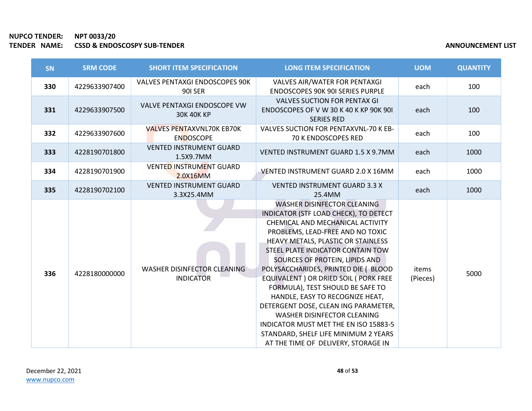| SN  | <b>SRM CODE</b> | <b>SHORT ITEM SPECIFICATION</b>                      | <b>LONG ITEM SPECIFICATION</b>                                                                                                                                                                                                                                                                                                                                                                                                                                                                                                                                                                                   | <b>UOM</b>        | <b>QUANTITY</b> |
|-----|-----------------|------------------------------------------------------|------------------------------------------------------------------------------------------------------------------------------------------------------------------------------------------------------------------------------------------------------------------------------------------------------------------------------------------------------------------------------------------------------------------------------------------------------------------------------------------------------------------------------------------------------------------------------------------------------------------|-------------------|-----------------|
| 330 | 4229633907400   | VALVES PENTAXGI ENDOSCOPES 90K<br><b>901 SER</b>     | VALVES AIR/WATER FOR PENTAXGI<br><b>ENDOSCOPES 90K 90I SERIES PURPLE</b>                                                                                                                                                                                                                                                                                                                                                                                                                                                                                                                                         | each              | 100             |
| 331 | 4229633907500   | VALVE PENTAXGI ENDOSCOPE VW<br><b>30K 40K KP</b>     | <b>VALVES SUCTION FOR PENTAX GI</b><br>ENDOSCOPES OF V W 30 K 40 K KP 90K 90I<br><b>SERIES RED</b>                                                                                                                                                                                                                                                                                                                                                                                                                                                                                                               | each              | 100             |
| 332 | 4229633907600   | <b>VALVES PENTAXVNL70K EB70K</b><br><b>ENDOSCOPE</b> | VALVES SUCTION FOR PENTAXVNL-70 K EB-<br>70 K ENDOSCOPES RED                                                                                                                                                                                                                                                                                                                                                                                                                                                                                                                                                     | each              | 100             |
| 333 | 4228190701800   | <b>VENTED INSTRUMENT GUARD</b><br>1.5X9.7MM          | <b>VENTED INSTRUMENT GUARD 1.5 X 9.7MM</b>                                                                                                                                                                                                                                                                                                                                                                                                                                                                                                                                                                       | each              | 1000            |
| 334 | 4228190701900   | <b>VENTED INSTRUMENT GUARD</b><br>2.0X16MM           | VENTED INSTRUMENT GUARD 2.0 X 16MM                                                                                                                                                                                                                                                                                                                                                                                                                                                                                                                                                                               | each              | 1000            |
| 335 | 4228190702100   | <b>VENTED INSTRUMENT GUARD</b><br>3.3X25.4MM         | <b>VENTED INSTRUMENT GUARD 3.3 X</b><br>25.4MM                                                                                                                                                                                                                                                                                                                                                                                                                                                                                                                                                                   | each              | 1000            |
| 336 | 4228180000000   | WASHER DISINFECTOR CLEANING<br><b>INDICATOR</b>      | WASHER DISINFECTOR CLEANING<br>INDICATOR (STF LOAD CHECK), TO DETECT<br>CHEMICAL AND MECHANICAL ACTIVITY<br>PROBLEMS, LEAD-FREE AND NO TOXIC<br>HEAVY METALS, PLASTIC OR STAINLESS<br>STEEL PLATE INDICATOR CONTAIN TOW<br>SOURCES OF PROTEIN, LIPIDS AND<br>POLYSACCHARIDES, PRINTED DIE (BLOOD<br>EQUIVALENT ) OR DRIED SOIL ( PORK FREE<br>FORMULA), TEST SHOULD BE SAFE TO<br>HANDLE, EASY TO RECOGNIZE HEAT,<br>DETERGENT DOSE, CLEAN ING PARAMETER,<br>WASHER DISINFECTOR CLEANING<br>INDICATOR MUST MET THE EN ISO 15883-5<br>STANDARD, SHELF LIFE MINIMUM 2 YEARS<br>AT THE TIME OF DELIVERY, STORAGE IN | items<br>(Pieces) | 5000            |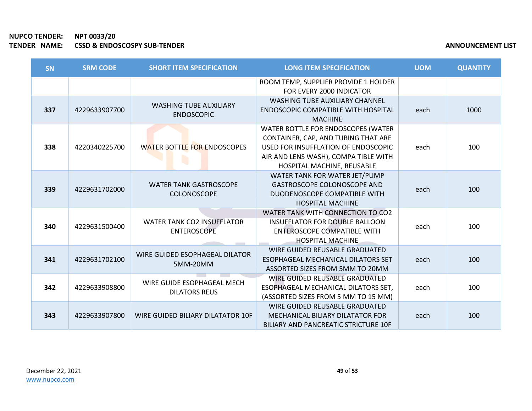| <b>SN</b> | <b>SRM CODE</b> | <b>SHORT ITEM SPECIFICATION</b>                         | <b>LONG ITEM SPECIFICATION</b>                                                                                                                                                         | <b>UOM</b> | <b>QUANTITY</b> |
|-----------|-----------------|---------------------------------------------------------|----------------------------------------------------------------------------------------------------------------------------------------------------------------------------------------|------------|-----------------|
|           |                 |                                                         | ROOM TEMP, SUPPLIER PROVIDE 1 HOLDER<br>FOR EVERY 2000 INDICATOR                                                                                                                       |            |                 |
| 337       | 4229633907700   | <b>WASHING TUBE AUXILIARY</b><br><b>ENDOSCOPIC</b>      | <b>WASHING TUBE AUXILIARY CHANNEL</b><br><b>ENDOSCOPIC COMPATIBLE WITH HOSPITAL</b><br><b>MACHINE</b>                                                                                  | each       | 1000            |
| 338       | 4220340225700   | <b>WATER BOTTLE FOR ENDOSCOPES</b>                      | WATER BOTTLE FOR ENDOSCOPES (WATER<br>CONTAINER, CAP, AND TUBING THAT ARE<br>USED FOR INSUFFLATION OF ENDOSCOPIC<br>AIR AND LENS WASH), COMPA TIBLE WITH<br>HOSPITAL MACHINE, REUSABLE | each       | 100             |
| 339       | 4229631702000   | <b>WATER TANK GASTROSCOPE</b><br><b>COLONOSCOPE</b>     | WATER TANK FOR WATER JET/PUMP<br><b>GASTROSCOPE COLONOSCOPE AND</b><br>DUODENOSCOPE COMPATIBLE WITH<br><b>HOSPITAL MACHINE</b>                                                         | each       | 100             |
| 340       | 4229631500400   | <b>WATER TANK CO2 INSUFFLATOR</b><br><b>ENTEROSCOPE</b> | WATER TANK WITH CONNECTION TO CO2<br><b>INSUFFLATOR FOR DOUBLE BALLOON</b><br><b>ENTEROSCOPE COMPATIBLE WITH</b><br><b>HOSPITAL MACHINE</b>                                            | each       | 100             |
| 341       | 4229631702100   | WIRE GUIDED ESOPHAGEAL DILATOR<br>5MM-20MM              | WIRE GUIDED REUSABLE GRADUATED<br>ESOPHAGEAL MECHANICAL DILATORS SET<br>ASSORTED SIZES FROM 5MM TO 20MM                                                                                | each       | 100             |
| 342       | 4229633908800   | WIRE GUIDE ESOPHAGEAL MECH<br><b>DILATORS REUS</b>      | WIRE GUIDED REUSABLE GRADUATED<br>ESOPHAGEAL MECHANICAL DILATORS SET,<br>(ASSORTED SIZES FROM 5 MM TO 15 MM)                                                                           | each       | 100             |
| 343       | 4229633907800   | WIRE GUIDED BILIARY DILATATOR 10F                       | WIRE GUIDED REUSABLE GRADUATED<br>MECHANICAL BILIARY DILATATOR FOR<br><b>BILIARY AND PANCREATIC STRICTURE 10F</b>                                                                      | each       | 100             |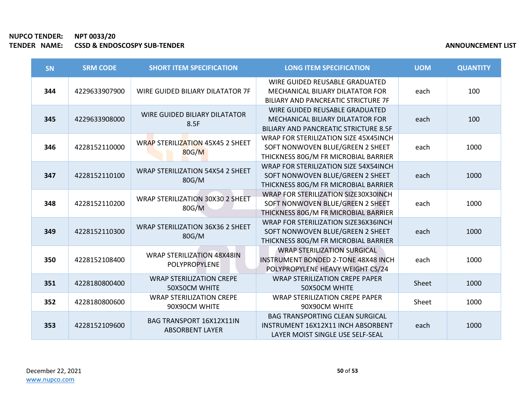| SN  | <b>SRM CODE</b> | <b>SHORT ITEM SPECIFICATION</b>                           | <b>LONG ITEM SPECIFICATION</b>                                                                                       | <b>UOM</b> | <b>QUANTITY</b> |
|-----|-----------------|-----------------------------------------------------------|----------------------------------------------------------------------------------------------------------------------|------------|-----------------|
| 344 | 4229633907900   | WIRE GUIDED BILIARY DILATATOR 7F                          | WIRE GUIDED REUSABLE GRADUATED<br>MECHANICAL BILIARY DILATATOR FOR<br>BILIARY AND PANCREATIC STRICTURE 7F            | each       | 100             |
| 345 | 4229633908000   | WIRE GUIDED BILIARY DILATATOR<br>8.5F                     | WIRE GUIDED REUSABLE GRADUATED<br>MECHANICAL BILIARY DILATATOR FOR<br><b>BILIARY AND PANCREATIC STRICTURE 8.5F</b>   | each       | 100             |
| 346 | 4228152110000   | WRAP STERILIZATION 45X45 2 SHEET<br>80G/M                 | WRAP FOR STERILIZATION SIZE 45X45INCH<br>SOFT NONWOVEN BLUE/GREEN 2 SHEET<br>THICKNESS 80G/M FR MICROBIAL BARRIER    | each       | 1000            |
| 347 | 4228152110100   | <b>WRAP STERILIZATION 54X54 2 SHEET</b><br>80G/M          | WRAP FOR STERILIZATION SIZE 54X54INCH<br>SOFT NONWOVEN BLUE/GREEN 2 SHEET<br>THICKNESS 80G/M FR MICROBIAL BARRIER    | each       | 1000            |
| 348 | 4228152110200   | WRAP STERILIZATION 30X30 2 SHEET<br>80G/M                 | WRAP FOR STERILIZATION SIZE30X30INCH<br>SOFT NONWOVEN BLUE/GREEN 2 SHEET<br>THICKNESS 80G/M FR MICROBIAL BARRIER     | each       | 1000            |
| 349 | 4228152110300   | <b>WRAP STERILIZATION 36X36 2 SHEET</b><br>80G/M          | WRAP FOR STERILIZATION SIZE36X36INCH<br>SOFT NONWOVEN BLUE/GREEN 2 SHEET<br>THICKNESS 80G/M FR MICROBIAL BARRIER     | each       | 1000            |
| 350 | 4228152108400   | <b>WRAP STERILIZATION 48X48IN</b><br><b>POLYPROPYLENE</b> | <b>WRAP STERILIZATION SURGICAL</b><br><b>INSTRUMENT BONDED 2-TONE 48X48 INCH</b><br>POLYPROPYLENE HEAVY WEIGHT CS/24 | each       | 1000            |
| 351 | 4228180800400   | <b>WRAP STERILIZATION CREPE</b><br>50X50CM WHITE          | <b>WRAP STERILIZATION CREPE PAPER</b><br>50X50CM WHITE                                                               | Sheet      | 1000            |
| 352 | 4228180800600   | <b>WRAP STERILIZATION CREPE</b><br>90X90CM WHITE          | <b>WRAP STERILIZATION CREPE PAPER</b><br>90X90CM WHITE                                                               | Sheet      | 1000            |
| 353 | 4228152109600   | BAG TRANSPORT 16X12X11IN<br><b>ABSORBENT LAYER</b>        | <b>BAG TRANSPORTING CLEAN SURGICAL</b><br>INSTRUMENT 16X12X11 INCH ABSORBENT<br>LAYER MOIST SINGLE USE SELF-SEAL     | each       | 1000            |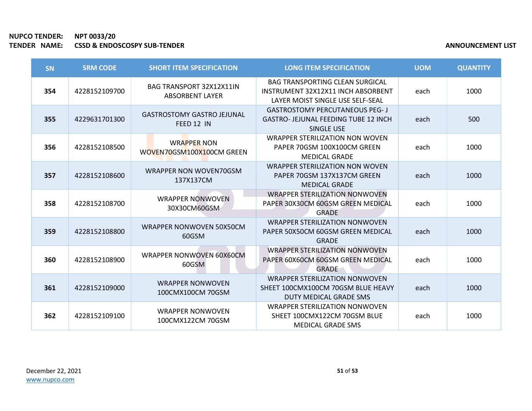| <b>SN</b> | <b>SRM CODE</b> | <b>SHORT ITEM SPECIFICATION</b>                    | <b>LONG ITEM SPECIFICATION</b>                                                                                   | <b>UOM</b> | <b>QUANTITY</b> |
|-----------|-----------------|----------------------------------------------------|------------------------------------------------------------------------------------------------------------------|------------|-----------------|
| 354       | 4228152109700   | BAG TRANSPORT 32X12X11IN<br><b>ABSORBENT LAYER</b> | <b>BAG TRANSPORTING CLEAN SURGICAL</b><br>INSTRUMENT 32X12X11 INCH ABSORBENT<br>LAYER MOIST SINGLE USE SELF-SEAL | each       | 1000            |
| 355       | 4229631701300   | <b>GASTROSTOMY GASTRO JEJUNAL</b><br>FEED 12 IN    | <b>GASTROSTOMY PERCUTANEOUS PEG- J</b><br>GASTRO- JEJUNAL FEEDING TUBE 12 INCH<br><b>SINGLE USE</b>              | each       | 500             |
| 356       | 4228152108500   | <b>WRAPPER NON</b><br>WOVEN70GSM100X100CM GREEN    | <b>WRAPPER STERILIZATION NON WOVEN</b><br>PAPER 70GSM 100X100CM GREEN<br><b>MEDICAL GRADE</b>                    | each       | 1000            |
| 357       | 4228152108600   | WRAPPER NON WOVEN70GSM<br>137X137CM                | <b>WRAPPER STERILIZATION NON WOVEN</b><br>PAPER 70GSM 137X137CM GREEN<br><b>MEDICAL GRADE</b>                    | each       | 1000            |
| 358       | 4228152108700   | <b>WRAPPER NONWOVEN</b><br>30X30CM60GSM            | <b>WRAPPER STERILIZATION NONWOVEN</b><br>PAPER 30X30CM 60GSM GREEN MEDICAL<br><b>GRADE</b>                       | each       | 1000            |
| 359       | 4228152108800   | WRAPPER NONWOVEN 50X50CM<br>60GSM                  | <b>WRAPPER STERILIZATION NONWOVEN</b><br>PAPER 50X50CM 60GSM GREEN MEDICAL<br><b>GRADE</b>                       | each       | 1000            |
| 360       | 4228152108900   | WRAPPER NONWOVEN 60X60CM<br>60GSM                  | <b>WRAPPER STERILIZATION NONWOVEN</b><br>PAPER 60X60CM 60GSM GREEN MEDICAL<br><b>GRADE</b>                       | each       | 1000            |
| 361       | 4228152109000   | <b>WRAPPER NONWOVEN</b><br>100CMX100CM 70GSM       | <b>WRAPPER STERILIZATION NONWOVEN</b><br>SHEET 100CMX100CM 70GSM BLUE HEAVY<br>DUTY MEDICAL GRADE SMS            | each       | 1000            |
| 362       | 4228152109100   | <b>WRAPPER NONWOVEN</b><br>100CMX122CM 70GSM       | WRAPPER STERILIZATION NONWOVEN<br>SHEET 100CMX122CM 70GSM BLUE<br><b>MEDICAL GRADE SMS</b>                       | each       | 1000            |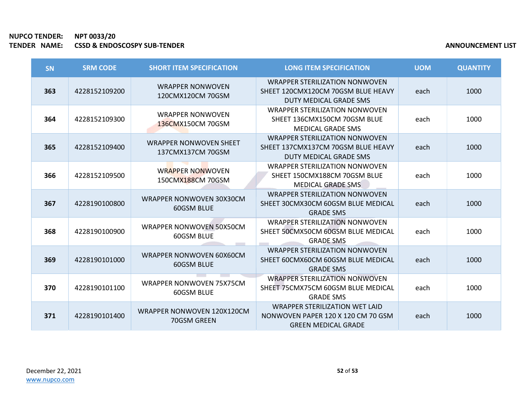r.

| SN  | <b>SRM CODE</b> | <b>SHORT ITEM SPECIFICATION</b>                    | <b>LONG ITEM SPECIFICATION</b>                                                                            | <b>UOM</b> | <b>QUANTITY</b> |
|-----|-----------------|----------------------------------------------------|-----------------------------------------------------------------------------------------------------------|------------|-----------------|
| 363 | 4228152109200   | <b>WRAPPER NONWOVEN</b><br>120CMX120CM 70GSM       | <b>WRAPPER STERILIZATION NONWOVEN</b><br>SHEET 120CMX120CM 70GSM BLUE HEAVY<br>DUTY MEDICAL GRADE SMS     | each       | 1000            |
| 364 | 4228152109300   | <b>WRAPPER NONWOVEN</b><br>136CMX150CM 70GSM       | <b>WRAPPER STERILIZATION NONWOVEN</b><br>SHEET 136CMX150CM 70GSM BLUE<br><b>MEDICAL GRADE SMS</b>         | each       | 1000            |
| 365 | 4228152109400   | <b>WRAPPER NONWOVEN SHEET</b><br>137CMX137CM 70GSM | WRAPPER STERILIZATION NONWOVEN<br>SHEET 137CMX137CM 70GSM BLUE HEAVY<br>DUTY MEDICAL GRADE SMS            | each       | 1000            |
| 366 | 4228152109500   | <b>WRAPPER NONWOVEN</b><br>150CMX188CM 70GSM       | WRAPPER STERILIZATION NONWOVEN<br>SHEET 150CMX188CM 70GSM BLUE<br><b>MEDICAL GRADE SMS</b>                | each       | 1000            |
| 367 | 4228190100800   | WRAPPER NONWOVEN 30X30CM<br>60GSM BLUE             | <b>WRAPPER STERILIZATION NONWOVEN</b><br>SHEET 30CMX30CM 60GSM BLUE MEDICAL<br><b>GRADE SMS</b>           | each       | 1000            |
| 368 | 4228190100900   | WRAPPER NONWOVEN 50X50CM<br>60GSM BLUE             | <b>WRAPPER STERILIZATION NONWOVEN</b><br>SHEET 50CMX50CM 60GSM BLUE MEDICAL<br><b>GRADE SMS</b>           | each       | 1000            |
| 369 | 4228190101000   | <b>WRAPPER NONWOVEN 60X60CM</b><br>60GSM BLUE      | <b>WRAPPER STERILIZATION NONWOVEN</b><br>SHEET 60CMX60CM 60GSM BLUE MEDICAL<br><b>GRADE SMS</b>           | each       | 1000            |
| 370 | 4228190101100   | WRAPPER NONWOVEN 75X75CM<br>60GSM BLUE             | <b>WRAPPER STERILIZATION NONWOVEN</b><br>SHEET 75CMX75CM 60GSM BLUE MEDICAL<br><b>GRADE SMS</b>           | each       | 1000            |
| 371 | 4228190101400   | WRAPPER NONWOVEN 120X120CM<br>70GSM GREEN          | <b>WRAPPER STERILIZATION WET LAID</b><br>NONWOVEN PAPER 120 X 120 CM 70 GSM<br><b>GREEN MEDICAL GRADE</b> | each       | 1000            |